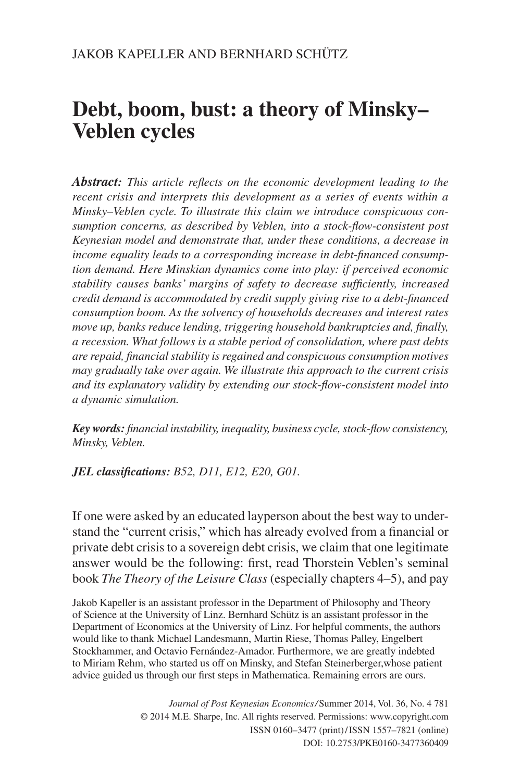# **Debt, boom, bust: a theory of Minsky– Veblen cycles**

*Abstract: This article reflects on the economic development leading to the recent crisis and interprets this development as a series of events within a Minsky–Veblen cycle. To illustrate this claim we introduce conspicuous consumption concerns, as described by Veblen, into a stock-flow-consistent post Keynesian model and demonstrate that, under these conditions, a decrease in income equality leads to a corresponding increase in debt-financed consumption demand. Here Minskian dynamics come into play: if perceived economic stability causes banks' margins of safety to decrease sufficiently, increased credit demand is accommodated by credit supply giving rise to a debt-financed consumption boom. As the solvency of households decreases and interest rates move up, banks reduce lending, triggering household bankruptcies and, finally, a recession. What follows is a stable period of consolidation, where past debts are repaid, financial stability is regained and conspicuous consumption motives may gradually take over again. We illustrate this approach to the current crisis and its explanatory validity by extending our stock-flow-consistent model into a dynamic simulation.*

*Key words: financial instability, inequality, business cycle, stock-flow consistency, Minsky, Veblen.*

*JEL classifications: B52, D11, E12, E20, G01.*

If one were asked by an educated layperson about the best way to understand the "current crisis," which has already evolved from a financial or private debt crisis to a sovereign debt crisis, we claim that one legitimate answer would be the following: first, read Thorstein Veblen's seminal book *The Theory of the Leisure Class* (especially chapters 4–5), and pay

Jakob Kapeller is an assistant professor in the Department of Philosophy and Theory of Science at the University of Linz. Bernhard Schütz is an assistant professor in the Department of Economics at the University of Linz. For helpful comments, the authors would like to thank Michael Landesmann, Martin Riese, Thomas Palley, Engelbert Stockhammer, and Octavio Fernández-Amador. Furthermore, we are greatly indebted to Miriam Rehm, who started us off on Minsky, and Stefan Steinerberger,whose patient advice guided us through our first steps in Mathematica. Remaining errors are ours.

> *Journal of Post Keynesian Economics/*Summer 2014, Vol. 36, No. 4 781 © 2014 M.E. Sharpe, Inc. All rights reserved. Permissions: www.copyright.com ISSN 0160–3477 (print)/ISSN 1557–7821 (online) DOI: 10.2753/PKE0160-3477360409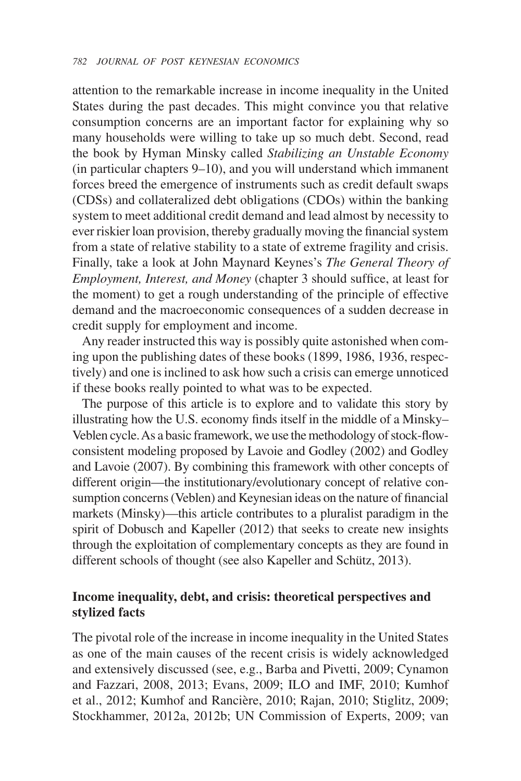attention to the remarkable increase in income inequality in the United States during the past decades. This might convince you that relative consumption concerns are an important factor for explaining why so many households were willing to take up so much debt. Second, read the book by Hyman Minsky called *Stabilizing an Unstable Economy* (in particular chapters 9–10), and you will understand which immanent forces breed the emergence of instruments such as credit default swaps (CDSs) and collateralized debt obligations (CDOs) within the banking system to meet additional credit demand and lead almost by necessity to ever riskier loan provision, thereby gradually moving the financial system from a state of relative stability to a state of extreme fragility and crisis. Finally, take a look at John Maynard Keynes's *The General Theory of Employment, Interest, and Money* (chapter 3 should suffice, at least for the moment) to get a rough understanding of the principle of effective demand and the macroeconomic consequences of a sudden decrease in credit supply for employment and income.

Any reader instructed this way is possibly quite astonished when coming upon the publishing dates of these books (1899, 1986, 1936, respectively) and one is inclined to ask how such a crisis can emerge unnoticed if these books really pointed to what was to be expected.

The purpose of this article is to explore and to validate this story by illustrating how the U.S. economy finds itself in the middle of a Minsky– Veblen cycle. As a basic framework, we use the methodology of stock-flowconsistent modeling proposed by Lavoie and Godley (2002) and Godley and Lavoie (2007). By combining this framework with other concepts of different origin—the institutionary/evolutionary concept of relative consumption concerns (Veblen) and Keynesian ideas on the nature of financial markets (Minsky)—this article contributes to a pluralist paradigm in the spirit of Dobusch and Kapeller (2012) that seeks to create new insights through the exploitation of complementary concepts as they are found in different schools of thought (see also Kapeller and Schütz, 2013).

## **Income inequality, debt, and crisis: theoretical perspectives and stylized facts**

The pivotal role of the increase in income inequality in the United States as one of the main causes of the recent crisis is widely acknowledged and extensively discussed (see, e.g., Barba and Pivetti, 2009; Cynamon and Fazzari, 2008, 2013; Evans, 2009; ILO and IMF, 2010; Kumhof et al., 2012; Kumhof and Rancière, 2010; Rajan, 2010; Stiglitz, 2009; Stockhammer, 2012a, 2012b; UN Commission of Experts, 2009; van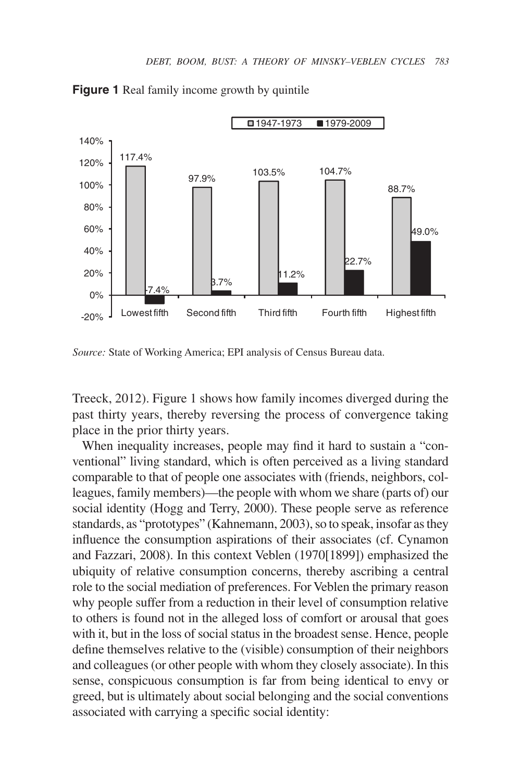

**Figure 1** Real family income growth by quintile

*Source:* State of Working America; EPI analysis of Census Bureau data.

Treeck, 2012). Figure 1 shows how family incomes diverged during the past thirty years, thereby reversing the process of convergence taking place in the prior thirty years.

When inequality increases, people may find it hard to sustain a "conventional" living standard, which is often perceived as a living standard comparable to that of people one associates with (friends, neighbors, colleagues, family members)—the people with whom we share (parts of) our social identity (Hogg and Terry, 2000). These people serve as reference standards, as "prototypes" (Kahnemann, 2003), so to speak, insofar as they influence the consumption aspirations of their associates (cf. Cynamon and Fazzari, 2008). In this context Veblen (1970[1899]) emphasized the ubiquity of relative consumption concerns, thereby ascribing a central role to the social mediation of preferences. For Veblen the primary reason why people suffer from a reduction in their level of consumption relative to others is found not in the alleged loss of comfort or arousal that goes with it, but in the loss of social status in the broadest sense. Hence, people define themselves relative to the (visible) consumption of their neighbors and colleagues (or other people with whom they closely associate). In this sense, conspicuous consumption is far from being identical to envy or greed, but is ultimately about social belonging and the social conventions associated with carrying a specific social identity: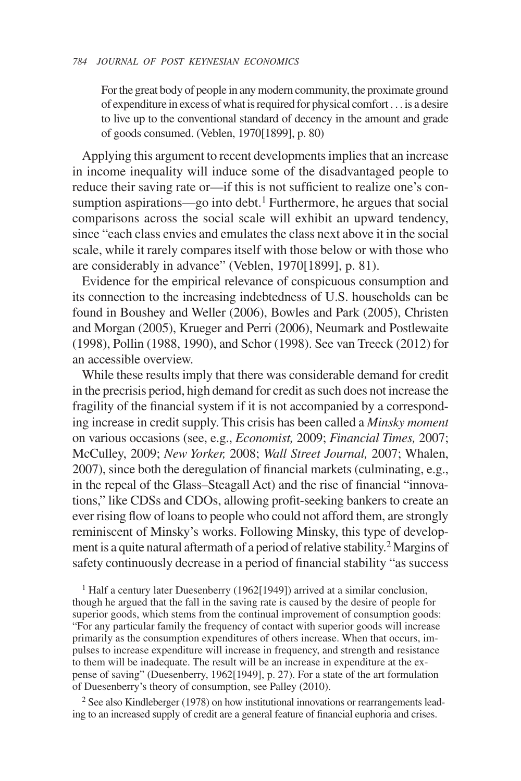For the great body of people in any modern community, the proximate ground of expenditure in excess of what is required for physical comfort . . . is a desire to live up to the conventional standard of decency in the amount and grade of goods consumed. (Veblen, 1970[1899], p. 80)

Applying this argument to recent developments implies that an increase in income inequality will induce some of the disadvantaged people to reduce their saving rate or—if this is not sufficient to realize one's consumption aspirations—go into debt.<sup>1</sup> Furthermore, he argues that social comparisons across the social scale will exhibit an upward tendency, since "each class envies and emulates the class next above it in the social scale, while it rarely compares itself with those below or with those who are considerably in advance" (Veblen, 1970[1899], p. 81).

Evidence for the empirical relevance of conspicuous consumption and its connection to the increasing indebtedness of U.S. households can be found in Boushey and Weller (2006), Bowles and Park (2005), Christen and Morgan (2005), Krueger and Perri (2006), Neumark and Postlewaite (1998), Pollin (1988, 1990), and Schor (1998). See van Treeck (2012) for an accessible overview.

While these results imply that there was considerable demand for credit in the precrisis period, high demand for credit as such does not increase the fragility of the financial system if it is not accompanied by a corresponding increase in credit supply. This crisis has been called a *Minsky moment* on various occasions (see, e.g., *Economist,* 2009; *Financial Times,* 2007; McCulley, 2009; *New Yorker,* 2008; *Wall Street Journal,* 2007; Whalen, 2007), since both the deregulation of financial markets (culminating, e.g., in the repeal of the Glass–Steagall Act) and the rise of financial "innovations," like CDSs and CDOs, allowing profit-seeking bankers to create an ever rising flow of loans to people who could not afford them, are strongly reminiscent of Minsky's works. Following Minsky, this type of development is a quite natural aftermath of a period of relative stability.2 Margins of safety continuously decrease in a period of financial stability "as success

<sup>1</sup> Half a century later Duesenberry (1962[1949]) arrived at a similar conclusion, though he argued that the fall in the saving rate is caused by the desire of people for superior goods, which stems from the continual improvement of consumption goods: "For any particular family the frequency of contact with superior goods will increase primarily as the consumption expenditures of others increase. When that occurs, impulses to increase expenditure will increase in frequency, and strength and resistance to them will be inadequate. The result will be an increase in expenditure at the expense of saving" (Duesenberry, 1962[1949], p. 27). For a state of the art formulation of Duesenberry's theory of consumption, see Palley (2010).

<sup>2</sup> See also Kindleberger (1978) on how institutional innovations or rearrangements leading to an increased supply of credit are a general feature of financial euphoria and crises.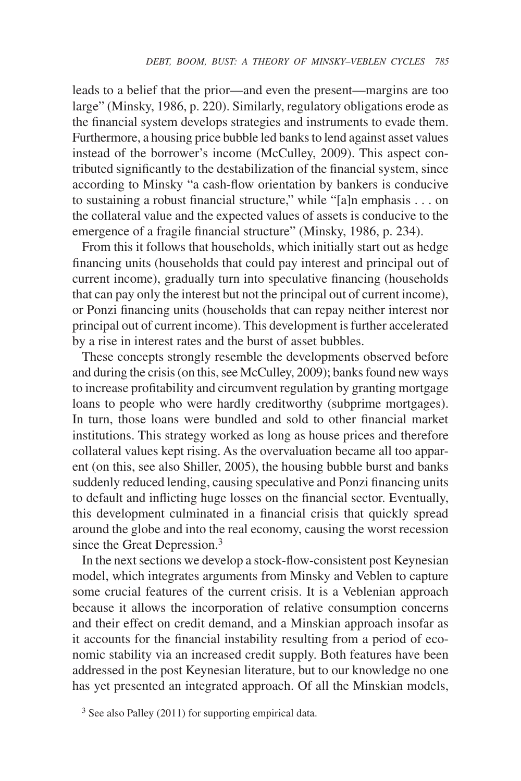leads to a belief that the prior—and even the present—margins are too large" (Minsky, 1986, p. 220). Similarly, regulatory obligations erode as the financial system develops strategies and instruments to evade them. Furthermore, a housing price bubble led banks to lend against asset values instead of the borrower's income (McCulley, 2009). This aspect contributed significantly to the destabilization of the financial system, since according to Minsky "a cash-flow orientation by bankers is conducive to sustaining a robust financial structure," while "[a]n emphasis . . . on the collateral value and the expected values of assets is conducive to the emergence of a fragile financial structure" (Minsky, 1986, p. 234).

From this it follows that households, which initially start out as hedge financing units (households that could pay interest and principal out of current income), gradually turn into speculative financing (households that can pay only the interest but not the principal out of current income), or Ponzi financing units (households that can repay neither interest nor principal out of current income). This development is further accelerated by a rise in interest rates and the burst of asset bubbles.

These concepts strongly resemble the developments observed before and during the crisis (on this, see McCulley, 2009); banks found new ways to increase profitability and circumvent regulation by granting mortgage loans to people who were hardly creditworthy (subprime mortgages). In turn, those loans were bundled and sold to other financial market institutions. This strategy worked as long as house prices and therefore collateral values kept rising. As the overvaluation became all too apparent (on this, see also Shiller, 2005), the housing bubble burst and banks suddenly reduced lending, causing speculative and Ponzi financing units to default and inflicting huge losses on the financial sector. Eventually, this development culminated in a financial crisis that quickly spread around the globe and into the real economy, causing the worst recession since the Great Depression.3

In the next sections we develop a stock-flow-consistent post Keynesian model, which integrates arguments from Minsky and Veblen to capture some crucial features of the current crisis. It is a Veblenian approach because it allows the incorporation of relative consumption concerns and their effect on credit demand, and a Minskian approach insofar as it accounts for the financial instability resulting from a period of economic stability via an increased credit supply. Both features have been addressed in the post Keynesian literature, but to our knowledge no one has yet presented an integrated approach. Of all the Minskian models,

<sup>&</sup>lt;sup>3</sup> See also Palley (2011) for supporting empirical data.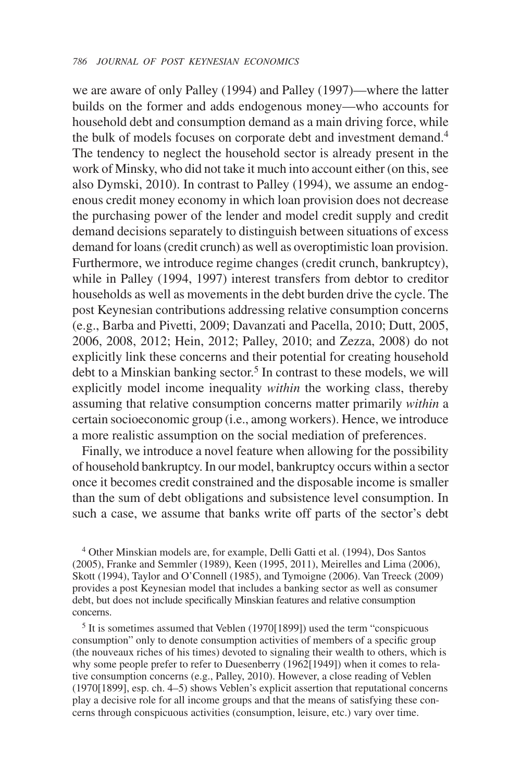we are aware of only Palley (1994) and Palley (1997)—where the latter builds on the former and adds endogenous money—who accounts for household debt and consumption demand as a main driving force, while the bulk of models focuses on corporate debt and investment demand.4 The tendency to neglect the household sector is already present in the work of Minsky, who did not take it much into account either (on this, see also Dymski, 2010). In contrast to Palley (1994), we assume an endogenous credit money economy in which loan provision does not decrease the purchasing power of the lender and model credit supply and credit demand decisions separately to distinguish between situations of excess demand for loans (credit crunch) as well as overoptimistic loan provision. Furthermore, we introduce regime changes (credit crunch, bankruptcy), while in Palley (1994, 1997) interest transfers from debtor to creditor households as well as movements in the debt burden drive the cycle. The post Keynesian contributions addressing relative consumption concerns (e.g., Barba and Pivetti, 2009; Davanzati and Pacella, 2010; Dutt, 2005, 2006, 2008, 2012; Hein, 2012; Palley, 2010; and Zezza, 2008) do not explicitly link these concerns and their potential for creating household debt to a Minskian banking sector.<sup>5</sup> In contrast to these models, we will explicitly model income inequality *within* the working class, thereby assuming that relative consumption concerns matter primarily *within* a certain socioeconomic group (i.e., among workers). Hence, we introduce a more realistic assumption on the social mediation of preferences.

Finally, we introduce a novel feature when allowing for the possibility of household bankruptcy. In our model, bankruptcy occurs within a sector once it becomes credit constrained and the disposable income is smaller than the sum of debt obligations and subsistence level consumption. In such a case, we assume that banks write off parts of the sector's debt

<sup>4</sup> Other Minskian models are, for example, Delli Gatti et al. (1994), Dos Santos (2005), Franke and Semmler (1989), Keen (1995, 2011), Meirelles and Lima (2006), Skott (1994), Taylor and O'Connell (1985), and Tymoigne (2006). Van Treeck (2009) provides a post Keynesian model that includes a banking sector as well as consumer debt, but does not include specifically Minskian features and relative consumption concerns.

<sup>5</sup> It is sometimes assumed that Veblen (1970[1899]) used the term "conspicuous consumption" only to denote consumption activities of members of a specific group (the nouveaux riches of his times) devoted to signaling their wealth to others, which is why some people prefer to refer to Duesenberry (1962[1949]) when it comes to relative consumption concerns (e.g., Palley, 2010). However, a close reading of Veblen (1970[1899], esp. ch. 4–5) shows Veblen's explicit assertion that reputational concerns play a decisive role for all income groups and that the means of satisfying these concerns through conspicuous activities (consumption, leisure, etc.) vary over time.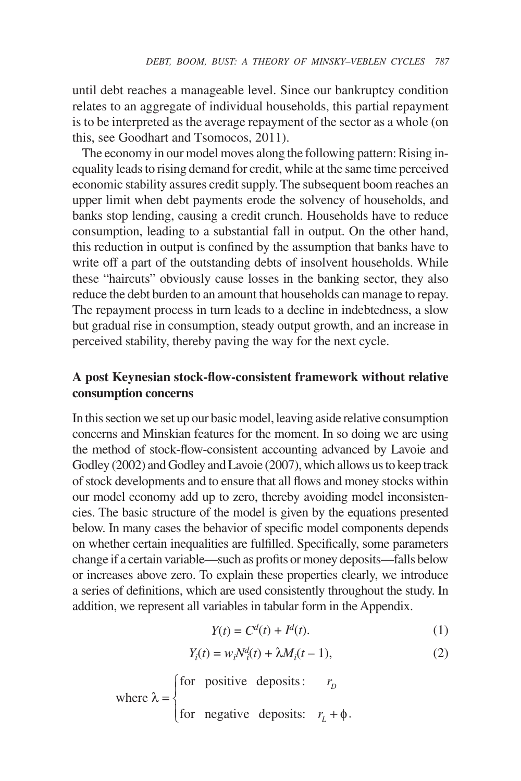until debt reaches a manageable level. Since our bankruptcy condition relates to an aggregate of individual households, this partial repayment is to be interpreted as the average repayment of the sector as a whole (on this, see Goodhart and Tsomocos, 2011).

The economy in our model moves along the following pattern: Rising inequality leads to rising demand for credit, while at the same time perceived economic stability assures credit supply. The subsequent boom reaches an upper limit when debt payments erode the solvency of households, and banks stop lending, causing a credit crunch. Households have to reduce consumption, leading to a substantial fall in output. On the other hand, this reduction in output is confined by the assumption that banks have to write off a part of the outstanding debts of insolvent households. While these "haircuts" obviously cause losses in the banking sector, they also reduce the debt burden to an amount that households can manage to repay. The repayment process in turn leads to a decline in indebtedness, a slow but gradual rise in consumption, steady output growth, and an increase in perceived stability, thereby paving the way for the next cycle.

# **A post Keynesian stock-flow-consistent framework without relative consumption concerns**

In this section we set up our basic model, leaving aside relative consumption concerns and Minskian features for the moment. In so doing we are using the method of stock-flow-consistent accounting advanced by Lavoie and Godley (2002) and Godley and Lavoie (2007), which allows us to keep track of stock developments and to ensure that all flows and money stocks within our model economy add up to zero, thereby avoiding model inconsistencies. The basic structure of the model is given by the equations presented below. In many cases the behavior of specific model components depends on whether certain inequalities are fulfilled. Specifically, some parameters change if a certain variable—such as profits or money deposits—falls below or increases above zero. To explain these properties clearly, we introduce a series of definitions, which are used consistently throughout the study. In addition, we represent all variables in tabular form in the Appendix.

$$
Y(t) = Cd(t) + Id(t).
$$
 (1)

$$
Y_i(t) = w_i N_i^d(t) + \lambda M_i(t-1),
$$
\n(2)

where  $\lambda$ φ  $=$  $^{+}$  $\left\vert \right\vert$  $\left\{ \right.$  $\frac{1}{2}$  $\overline{\mathcal{L}}$ for positive deposits for negative deposits: : . *r r D*  $L + \Phi$ .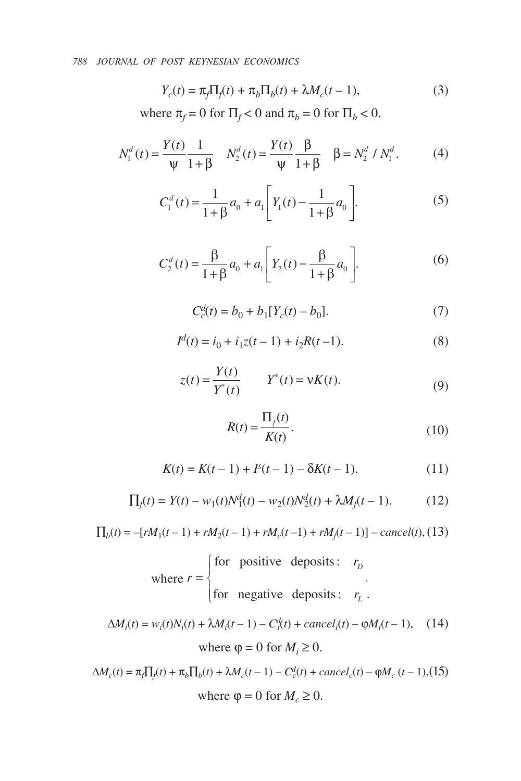*788 JOURNAL OF POST KEYNESIAN ECONOMICS* 

$$
Y_c(t) = \pi_f \Pi_f(t) + \pi_b \Pi_b(t) + \lambda M_c(t-1),
$$
\n(3)

where  $\pi_f = 0$  for  $\Pi_f < 0$  and  $\pi_b = 0$  for  $\Pi_b < 0$ .

$$
N_1^d(t) = \frac{Y(t)}{\psi} \frac{1}{1+\beta} \quad N_2^d(t) = \frac{Y(t)}{\psi} \frac{\beta}{1+\beta} \quad \beta = N_2^d / N_1^d. \tag{4}
$$

$$
C_1^d(t) = \frac{1}{1+\beta} a_0 + a_1 \left[ Y_1(t) - \frac{1}{1+\beta} a_0 \right].
$$
 (5)

$$
C_2^d(t) = \frac{\beta}{1+\beta} a_0 + a_1 \left[ Y_2(t) - \frac{\beta}{1+\beta} a_0 \right].
$$
 (6)

$$
C_c^d(t) = b_0 + b_1[Y_c(t) - b_0].
$$
\n(7)

$$
Id(t) = i0 + i1z(t-1) + i2R(t-1).
$$
 (8)

$$
z(t) = \frac{Y(t)}{Y^*(t)} \qquad Y^*(t) = \nu K(t).
$$
 (9)

$$
R(t) = \frac{\Pi_f(t)}{K(t)}.\tag{10}
$$

$$
K(t) = K(t-1) + F(t-1) - \delta K(t-1).
$$
 (11)

$$
\prod_{f}(t) = Y(t) - w_1(t)N_1^d(t) - w_2(t)N_2^d(t) + \lambda M_f(t-1).
$$
 (12)

 $\prod_b(t) = -[rM_1(t-1) + rM_2(t-1) + rM_c(t-1) + rM_f(t-1)] - cancel(t)$ ,(13)

where 
$$
r = \begin{cases} \text{for positive deposits: } r_D \\ \text{for negative deposits: } r_L \\ \text{for negative deposits: } r_L \end{cases}
$$
  

$$
\Delta M_i(t) = w_i(t)N_i(t) + \lambda M_i(t-1) - C_i^d(t) + cancel_i(t) - \varphi M_i(t-1), \quad (14)
$$
  
where  $\varphi = 0$  for  $M_i \ge 0$ .

 $\Delta M_c(t) = \pi_f \prod_f(t) + \pi_b \prod_b(t) + \lambda M_c(t-1) - C_c^d(t) + cancel_c(t) - \varphi M_c(t-1),$ (15) where  $\varphi = 0$  for  $M_c \ge 0$ .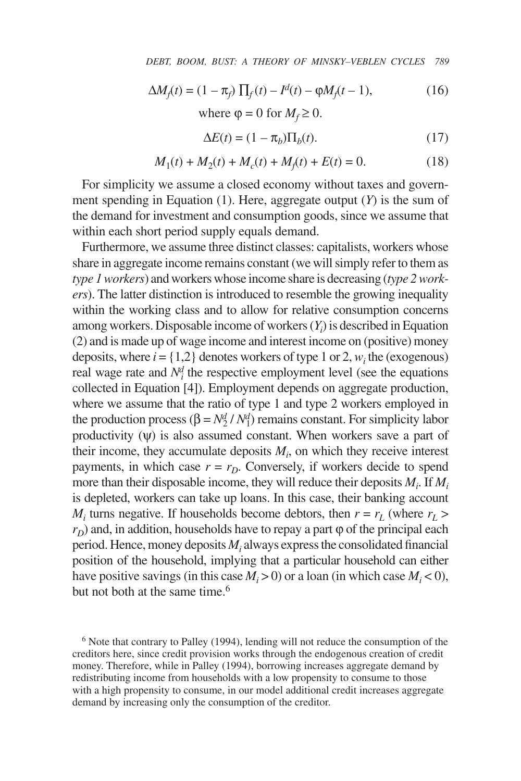*DEBT, BOOM, BUST: A THEORY OF MINSKY–VEBLEN CYCLES 789*

$$
\Delta M_f(t) = (1 - \pi_f) \prod_f(t) - I^d(t) - \varphi M_f(t - 1), \tag{16}
$$

where  $\varphi = 0$  for  $M_f \geq 0$ .

$$
\Delta E(t) = (1 - \pi_b) \Pi_b(t). \tag{17}
$$

$$
M_1(t) + M_2(t) + M_c(t) + M_f(t) + E(t) = 0.
$$
 (18)

For simplicity we assume a closed economy without taxes and government spending in Equation (1). Here, aggregate output (*Y*) is the sum of the demand for investment and consumption goods, since we assume that within each short period supply equals demand.

Furthermore, we assume three distinct classes: capitalists, workers whose share in aggregate income remains constant (we will simply refer to them as *type 1 workers*) and workers whose income share is decreasing (*type 2 workers*). The latter distinction is introduced to resemble the growing inequality within the working class and to allow for relative consumption concerns among workers. Disposable income of workers (*Yi* ) is described in Equation (2) and is made up of wage income and interest income on (positive) money deposits, where  $i = \{1,2\}$  denotes workers of type 1 or 2,  $w_i$  the (exogenous) real wage rate and  $N_i^d$  the respective employment level (see the equations collected in Equation [4]). Employment depends on aggregate production, where we assume that the ratio of type 1 and type 2 workers employed in the production process ( $\beta = N_2^d / N_1^d$ ) remains constant. For simplicity labor productivity  $(\psi)$  is also assumed constant. When workers save a part of their income, they accumulate deposits  $M_i$ , on which they receive interest payments, in which case  $r = r_D$ . Conversely, if workers decide to spend more than their disposable income, they will reduce their deposits  $M_i$ . If  $M_i$ is depleted, workers can take up loans. In this case, their banking account  $M_i$  turns negative. If households become debtors, then  $r = r_L$  (where  $r_L$ )  $r_D$ ) and, in addition, households have to repay a part  $\varphi$  of the principal each period. Hence, money deposits  $M_i$  always express the consolidated financial position of the household, implying that a particular household can either have positive savings (in this case  $M_i > 0$ ) or a loan (in which case  $M_i < 0$ ), but not both at the same time.<sup>6</sup>

<sup>6</sup> Note that contrary to Palley (1994), lending will not reduce the consumption of the creditors here, since credit provision works through the endogenous creation of credit money. Therefore, while in Palley (1994), borrowing increases aggregate demand by redistributing income from households with a low propensity to consume to those with a high propensity to consume, in our model additional credit increases aggregate demand by increasing only the consumption of the creditor.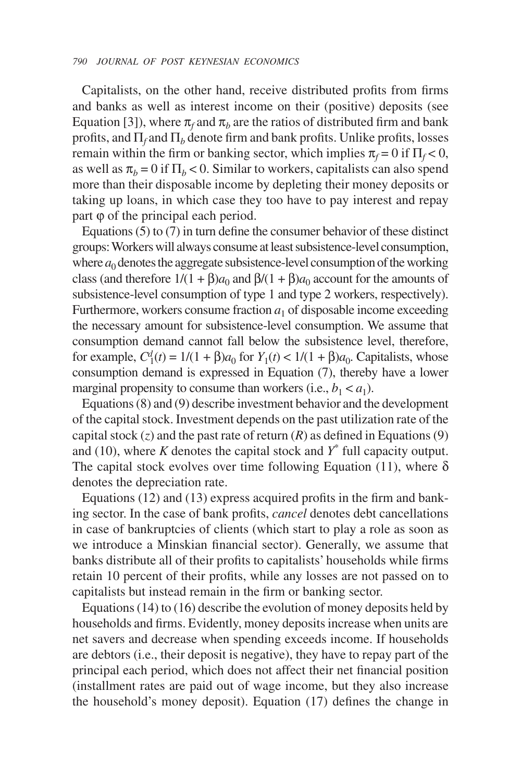Capitalists, on the other hand, receive distributed profits from firms and banks as well as interest income on their (positive) deposits (see Equation [3]), where  $\pi_f$  and  $\pi_b$  are the ratios of distributed firm and bank profits, and  $\Pi_f$  and  $\Pi_b$  denote firm and bank profits. Unlike profits, losses remain within the firm or banking sector, which implies  $\pi_f = 0$  if  $\Pi_f < 0$ , as well as  $\pi_b = 0$  if  $\Pi_b < 0$ . Similar to workers, capitalists can also spend more than their disposable income by depleting their money deposits or taking up loans, in which case they too have to pay interest and repay part  $\varphi$  of the principal each period.

Equations (5) to (7) in turn define the consumer behavior of these distinct groups: Workers will always consume at least subsistence-level consumption, where  $a_0$  denotes the aggregate subsistence-level consumption of the working class (and therefore  $1/(1 + \beta)a_0$  and  $\beta/(1 + \beta)a_0$  account for the amounts of subsistence-level consumption of type 1 and type 2 workers, respectively). Furthermore, workers consume fraction  $a_1$  of disposable income exceeding the necessary amount for subsistence-level consumption. We assume that consumption demand cannot fall below the subsistence level, therefore, for example,  $C_1^d(t) = 1/(1 + \beta)a_0$  for  $Y_1(t) < 1/(1 + \beta)a_0$ . Capitalists, whose consumption demand is expressed in Equation (7), thereby have a lower marginal propensity to consume than workers (i.e.,  $b_1 < a_1$ ).

Equations (8) and (9) describe investment behavior and the development of the capital stock. Investment depends on the past utilization rate of the capital stock  $(z)$  and the past rate of return  $(R)$  as defined in Equations  $(9)$ and (10), where *K* denotes the capital stock and *Y*\* full capacity output. The capital stock evolves over time following Equation (11), where  $\delta$ denotes the depreciation rate.

Equations (12) and (13) express acquired profits in the firm and banking sector. In the case of bank profits, *cancel* denotes debt cancellations in case of bankruptcies of clients (which start to play a role as soon as we introduce a Minskian financial sector). Generally, we assume that banks distribute all of their profits to capitalists' households while firms retain 10 percent of their profits, while any losses are not passed on to capitalists but instead remain in the firm or banking sector.

Equations (14) to (16) describe the evolution of money deposits held by households and firms. Evidently, money deposits increase when units are net savers and decrease when spending exceeds income. If households are debtors (i.e., their deposit is negative), they have to repay part of the principal each period, which does not affect their net financial position (installment rates are paid out of wage income, but they also increase the household's money deposit). Equation (17) defines the change in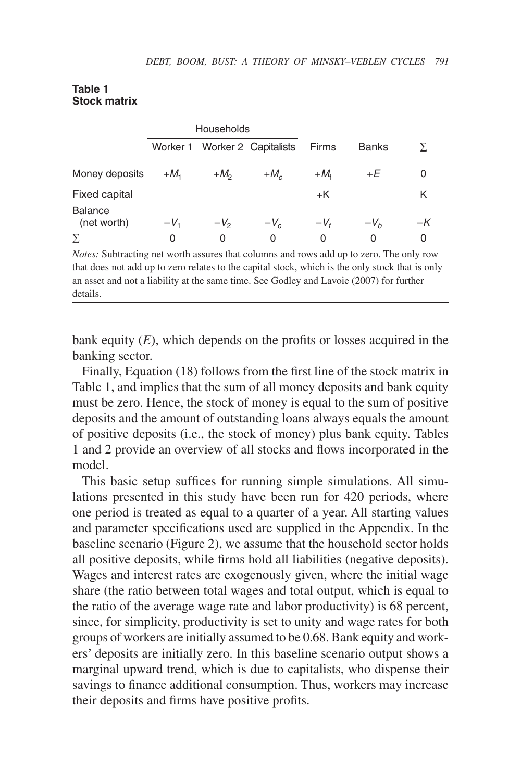|                               |        | Households |                               |          |              |    |
|-------------------------------|--------|------------|-------------------------------|----------|--------------|----|
|                               |        |            | Worker 1 Worker 2 Capitalists | Firms    | <b>Banks</b> |    |
| Money deposits                | $+M_1$ | $+M2$      | $+M_c$                        | $+M_{f}$ | $+E$         | 0  |
| <b>Fixed capital</b>          |        |            |                               | $+K$     |              | κ  |
| <b>Balance</b><br>(net worth) | $-V_1$ | $-V2$      | $-V_c$                        | $-V_{f}$ | $-V_h$       | -K |
| Σ                             | 0      | 0          | 0                             | 0        | 0            | 0  |

#### **Table 1 Stock matrix**

*Notes:* Subtracting net worth assures that columns and rows add up to zero. The only row that does not add up to zero relates to the capital stock, which is the only stock that is only an asset and not a liability at the same time. See Godley and Lavoie (2007) for further details.

bank equity (*E*), which depends on the profits or losses acquired in the banking sector.

Finally, Equation (18) follows from the first line of the stock matrix in Table 1, and implies that the sum of all money deposits and bank equity must be zero. Hence, the stock of money is equal to the sum of positive deposits and the amount of outstanding loans always equals the amount of positive deposits (i.e., the stock of money) plus bank equity. Tables 1 and 2 provide an overview of all stocks and flows incorporated in the model.

This basic setup suffices for running simple simulations. All simulations presented in this study have been run for 420 periods, where one period is treated as equal to a quarter of a year. All starting values and parameter specifications used are supplied in the Appendix. In the baseline scenario (Figure 2), we assume that the household sector holds all positive deposits, while firms hold all liabilities (negative deposits). Wages and interest rates are exogenously given, where the initial wage share (the ratio between total wages and total output, which is equal to the ratio of the average wage rate and labor productivity) is 68 percent, since, for simplicity, productivity is set to unity and wage rates for both groups of workers are initially assumed to be 0.68. Bank equity and workers' deposits are initially zero. In this baseline scenario output shows a marginal upward trend, which is due to capitalists, who dispense their savings to finance additional consumption. Thus, workers may increase their deposits and firms have positive profits.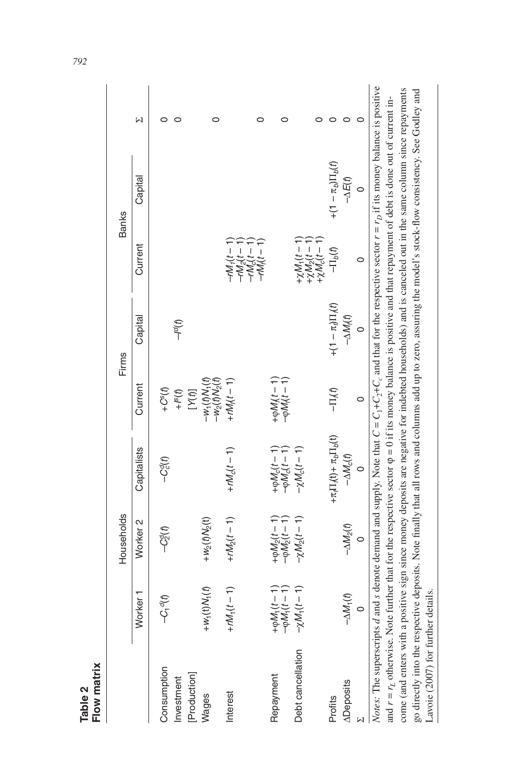|                            |                                            | Households                                  |                                                                                                                                                                                                                                                                                                                                                      |                                                                                                                                                                                                                                                                                                                                                                                                                                                                                                                                                                                                                                                                                                                                                                                                                                                                                                                                                                                                                                                                                                                | Firms              |                                                                  | <b>Banks</b>         |   |
|----------------------------|--------------------------------------------|---------------------------------------------|------------------------------------------------------------------------------------------------------------------------------------------------------------------------------------------------------------------------------------------------------------------------------------------------------------------------------------------------------|----------------------------------------------------------------------------------------------------------------------------------------------------------------------------------------------------------------------------------------------------------------------------------------------------------------------------------------------------------------------------------------------------------------------------------------------------------------------------------------------------------------------------------------------------------------------------------------------------------------------------------------------------------------------------------------------------------------------------------------------------------------------------------------------------------------------------------------------------------------------------------------------------------------------------------------------------------------------------------------------------------------------------------------------------------------------------------------------------------------|--------------------|------------------------------------------------------------------|----------------------|---|
|                            | Worker <sub>1</sub>                        | Worker <sub>2</sub>                         | Capitalists                                                                                                                                                                                                                                                                                                                                          | Current                                                                                                                                                                                                                                                                                                                                                                                                                                                                                                                                                                                                                                                                                                                                                                                                                                                                                                                                                                                                                                                                                                        | Capital            | Current                                                          | Capital              | Ν |
| Consumption                | $-G_{q(t)}$                                | $-62(1)$                                    | $-C_c^d(t)$                                                                                                                                                                                                                                                                                                                                          | $+C^{s}(t)$                                                                                                                                                                                                                                                                                                                                                                                                                                                                                                                                                                                                                                                                                                                                                                                                                                                                                                                                                                                                                                                                                                    |                    |                                                                  |                      |   |
| [Production]<br>Investment |                                            |                                             |                                                                                                                                                                                                                                                                                                                                                      | $+{}^{/s}(t)$<br>$[V(t)]% \begin{center} \includegraphics[width=0.3\textwidth]{Figures/PN1.png} \end{center} \caption{The average number of parameters of the number of different times, and the number of different times, respectively. The number of different times, the number of different times, the number of different times, the number of different times, the number of different times, the number of different times, the number of different times, the number of different times, the number of different times, the number of different times, the number of different times, the number of different times, the number of different times, the number of different times, the number of different times, the number of different times, the number of different times, the number of different times, the number of different times, the number of different times, the number of different times, the number of different times, the number of different times, the number of different times, the number of different times, the number of different times, the number of different times$ | $-\rho(t)$         |                                                                  |                      | 0 |
| Wages                      | $+w_1(t)N_1(t)$                            | $+w_2(t)N_2(t)$                             |                                                                                                                                                                                                                                                                                                                                                      | $-w_1(t)N_1(t)$<br>$-w_2(t)N_2(t)$                                                                                                                                                                                                                                                                                                                                                                                                                                                                                                                                                                                                                                                                                                                                                                                                                                                                                                                                                                                                                                                                             |                    |                                                                  |                      | 0 |
| Interest                   | $+ rM_1(t - 1)$                            | $+ rM_2(t - 1)$                             | $+ r M_c (t - 1)$                                                                                                                                                                                                                                                                                                                                    | + $rM_{\rm A}(t-1)$                                                                                                                                                                                                                                                                                                                                                                                                                                                                                                                                                                                                                                                                                                                                                                                                                                                                                                                                                                                                                                                                                            |                    |                                                                  |                      |   |
|                            |                                            |                                             |                                                                                                                                                                                                                                                                                                                                                      |                                                                                                                                                                                                                                                                                                                                                                                                                                                                                                                                                                                                                                                                                                                                                                                                                                                                                                                                                                                                                                                                                                                |                    | $-M_1(t-1)$<br>$-M_2(t-1)$<br>$-M_3(t-1)$<br>$-M_4(t-1)$         |                      | 0 |
| Repayment                  | $+\varphi M_1(t-1)$<br>$-\varphi M_1(t-1)$ | $+\varphi M_2(t-1)$<br>- $\varphi M_2(t-1)$ | $+\varphi M_c(t-1)$<br>$-\varphi M_c(t-1)$                                                                                                                                                                                                                                                                                                           | $+\varphi M_f(t-1)$<br>- $\varphi M_f(t-1)$                                                                                                                                                                                                                                                                                                                                                                                                                                                                                                                                                                                                                                                                                                                                                                                                                                                                                                                                                                                                                                                                    |                    |                                                                  |                      | ⊂ |
| Debt cancellation          | $-\chi M_1(t - 1)$                         | $-\chi M_2(t-1)$                            | $-XM_{c}(t-1)$                                                                                                                                                                                                                                                                                                                                       |                                                                                                                                                                                                                                                                                                                                                                                                                                                                                                                                                                                                                                                                                                                                                                                                                                                                                                                                                                                                                                                                                                                |                    | $+xM_1(t-1)$<br>+xM <sub>2</sub> (t-1)<br>+xM <sub>2</sub> (t-1) |                      |   |
| Profits                    |                                            |                                             | $+\pi_t\Pi_\lambda(t)+\pi_b\Pi_b(t)$                                                                                                                                                                                                                                                                                                                 | $-II(t)$                                                                                                                                                                                                                                                                                                                                                                                                                                                                                                                                                                                                                                                                                                                                                                                                                                                                                                                                                                                                                                                                                                       | $+(1-\pi/\Pi_0 t)$ | $-\Pi_b(t)$                                                      | $+(1-\pi_b)\Pi_b(t)$ |   |
| <b>ADeposits</b>           | $-M_1(t)$                                  | $-\Delta M_2(t)$                            | $-M_{c}(t)$                                                                                                                                                                                                                                                                                                                                          |                                                                                                                                                                                                                                                                                                                                                                                                                                                                                                                                                                                                                                                                                                                                                                                                                                                                                                                                                                                                                                                                                                                | $-\Delta M(t)$     |                                                                  | $-\Delta E(t)$       |   |
|                            | $\circ$                                    | $\circ$                                     | $\circ$                                                                                                                                                                                                                                                                                                                                              | $\circ$                                                                                                                                                                                                                                                                                                                                                                                                                                                                                                                                                                                                                                                                                                                                                                                                                                                                                                                                                                                                                                                                                                        | $\circ$            | $\circ$                                                          | $\circ$              |   |
|                            |                                            |                                             | Notes: The superscripts d and s denote demand and supply. Note that $C = C_1 + C_2 + C_4$ and that for the respective sector $r = r_p$ if its money balance is positive<br>and $r = r_L$ otherwise. Note further that for the respective sector $\varphi = 0$ if its money balance is positive and that repayment of debt is done out of current in- |                                                                                                                                                                                                                                                                                                                                                                                                                                                                                                                                                                                                                                                                                                                                                                                                                                                                                                                                                                                                                                                                                                                |                    |                                                                  |                      |   |
| come (and enters with a    |                                            |                                             | positive sign since money deposits are negative for indebted households) and is canceled out in the same column since repayments                                                                                                                                                                                                                     |                                                                                                                                                                                                                                                                                                                                                                                                                                                                                                                                                                                                                                                                                                                                                                                                                                                                                                                                                                                                                                                                                                                |                    |                                                                  |                      |   |

go directly into the respective deposits. Note finally that all rows and columns add up to zero, assuring the model's stock-flow consistency. See Godley and

go directly into the respective deposits. Note finally that all rows and columns add up to zero, assuring the model's stock-flow consistency. See Godley and

Lavoie (2007) for further details.

Example (2007) for further details.

Table 2<br>Flow matrix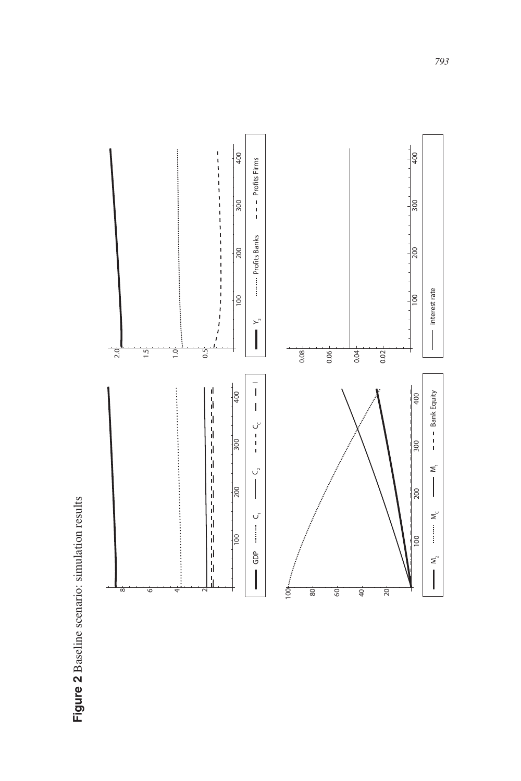

Figure 2 Baseline scenario: simulation results Baseline scenario: simulation results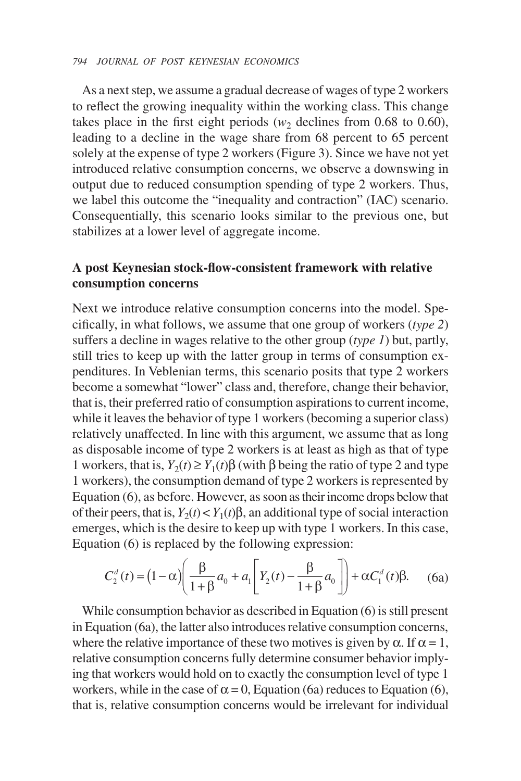As a next step, we assume a gradual decrease of wages of type 2 workers to reflect the growing inequality within the working class. This change takes place in the first eight periods  $(w_2)$  declines from 0.68 to 0.60), leading to a decline in the wage share from 68 percent to 65 percent solely at the expense of type 2 workers (Figure 3). Since we have not yet introduced relative consumption concerns, we observe a downswing in output due to reduced consumption spending of type 2 workers. Thus, we label this outcome the "inequality and contraction" (IAC) scenario. Consequentially, this scenario looks similar to the previous one, but stabilizes at a lower level of aggregate income.

# **A post Keynesian stock-flow-consistent framework with relative consumption concerns**

Next we introduce relative consumption concerns into the model. Specifically, in what follows, we assume that one group of workers (*type 2*) suffers a decline in wages relative to the other group (*type 1*) but, partly, still tries to keep up with the latter group in terms of consumption expenditures. In Veblenian terms, this scenario posits that type 2 workers become a somewhat "lower" class and, therefore, change their behavior, that is, their preferred ratio of consumption aspirations to current income, while it leaves the behavior of type 1 workers (becoming a superior class) relatively unaffected. In line with this argument, we assume that as long as disposable income of type 2 workers is at least as high as that of type 1 workers, that is,  $Y_2(t) \ge Y_1(t) \beta$  (with  $\beta$  being the ratio of type 2 and type 1 workers), the consumption demand of type 2 workers is represented by Equation (6), as before. However, as soon as their income drops below that of their peers, that is,  $Y_2(t) < Y_1(t)$ , an additional type of social interaction emerges, which is the desire to keep up with type 1 workers. In this case, Equation (6) is replaced by the following expression:

$$
C_2^d(t) = (1 - \alpha) \left( \frac{\beta}{1 + \beta} a_0 + a_1 \left[ Y_2(t) - \frac{\beta}{1 + \beta} a_0 \right] \right) + \alpha C_1^d(t) \beta. \tag{6a}
$$

While consumption behavior as described in Equation (6) is still present in Equation (6a), the latter also introduces relative consumption concerns, where the relative importance of these two motives is given by  $\alpha$ . If  $\alpha = 1$ , relative consumption concerns fully determine consumer behavior implying that workers would hold on to exactly the consumption level of type 1 workers, while in the case of  $\alpha = 0$ , Equation (6a) reduces to Equation (6), that is, relative consumption concerns would be irrelevant for individual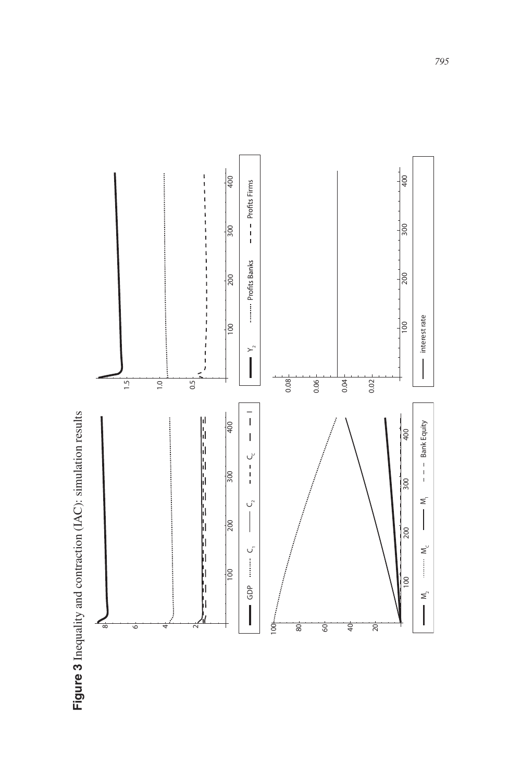



*DEBT, BOOM, BUST: A THEORY OF MINSKY–VEBLEN CYCLES 795*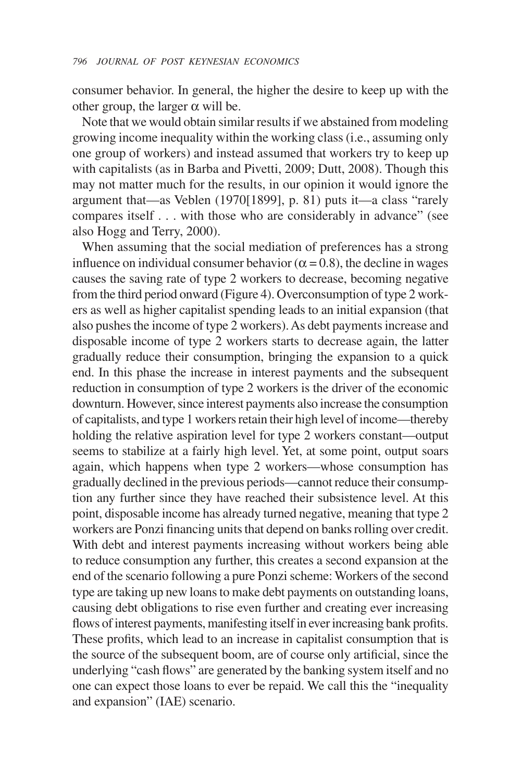consumer behavior. In general, the higher the desire to keep up with the other group, the larger  $\alpha$  will be.

Note that we would obtain similar results if we abstained from modeling growing income inequality within the working class (i.e., assuming only one group of workers) and instead assumed that workers try to keep up with capitalists (as in Barba and Pivetti, 2009; Dutt, 2008). Though this may not matter much for the results, in our opinion it would ignore the argument that—as Veblen (1970[1899], p. 81) puts it—a class "rarely compares itself . . . with those who are considerably in advance" (see also Hogg and Terry, 2000).

When assuming that the social mediation of preferences has a strong influence on individual consumer behavior ( $\alpha$  = 0.8), the decline in wages causes the saving rate of type 2 workers to decrease, becoming negative from the third period onward (Figure 4). Overconsumption of type 2 workers as well as higher capitalist spending leads to an initial expansion (that also pushes the income of type 2 workers). As debt payments increase and disposable income of type 2 workers starts to decrease again, the latter gradually reduce their consumption, bringing the expansion to a quick end. In this phase the increase in interest payments and the subsequent reduction in consumption of type 2 workers is the driver of the economic downturn. However, since interest payments also increase the consumption of capitalists, and type 1 workers retain their high level of income—thereby holding the relative aspiration level for type 2 workers constant—output seems to stabilize at a fairly high level. Yet, at some point, output soars again, which happens when type 2 workers—whose consumption has gradually declined in the previous periods—cannot reduce their consumption any further since they have reached their subsistence level. At this point, disposable income has already turned negative, meaning that type 2 workers are Ponzi financing units that depend on banks rolling over credit. With debt and interest payments increasing without workers being able to reduce consumption any further, this creates a second expansion at the end of the scenario following a pure Ponzi scheme: Workers of the second type are taking up new loans to make debt payments on outstanding loans, causing debt obligations to rise even further and creating ever increasing flows of interest payments, manifesting itself in ever increasing bank profits. These profits, which lead to an increase in capitalist consumption that is the source of the subsequent boom, are of course only artificial, since the underlying "cash flows" are generated by the banking system itself and no one can expect those loans to ever be repaid. We call this the "inequality and expansion" (IAE) scenario.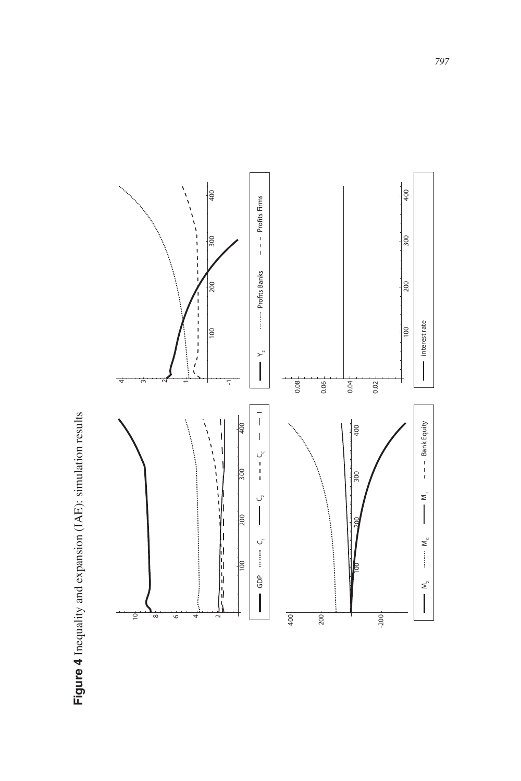

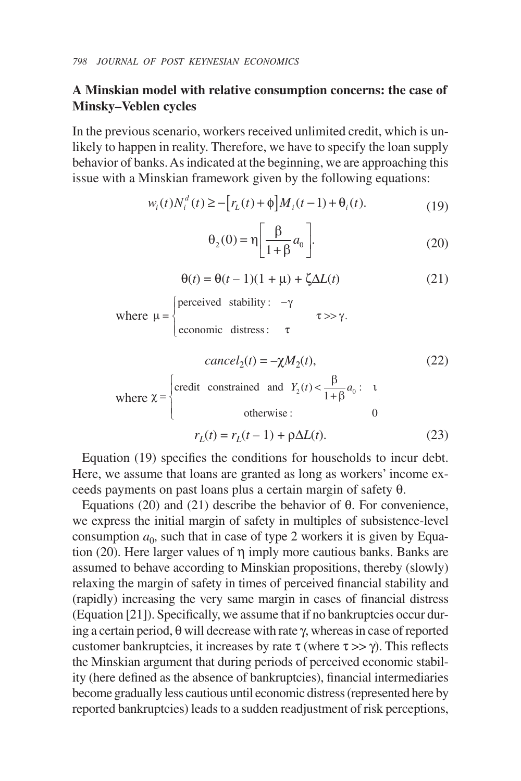## **A Minskian model with relative consumption concerns: the case of Minsky–Veblen cycles**

In the previous scenario, workers received unlimited credit, which is unlikely to happen in reality. Therefore, we have to specify the loan supply behavior of banks. As indicated at the beginning, we are approaching this issue with a Minskian framework given by the following equations:

$$
w_i(t)N_i^d(t) \ge -[r_L(t) + \phi]M_i(t-1) + \theta_i(t).
$$
 (19)

$$
\theta_2(0) = \eta \left[ \frac{\beta}{1 + \beta} a_0 \right].
$$
 (20)

$$
\Theta(t) = \Theta(t-1)(1+\mu) + \zeta \Delta L(t) \tag{21}
$$

where 
$$
\mu = \begin{cases} \text{perceived stability:} & -\gamma \\ \text{economic distances:} & \tau \end{cases}
$$

$$
cancel_{2}(t) = -\chi M_{2}(t), \qquad (22)
$$
\nwhere  $\chi = \begin{cases} \text{credit constrained and } Y_{2}(t) < \frac{\beta}{1+\beta} a_{0}: 1\\ \text{otherwise}: 0 \end{cases}$ 

\n $r_{L}(t) = r_{L}(t-1) + \rho \Delta L(t).$ 

\n(23)

Equation (19) specifies the conditions for households to incur debt. Here, we assume that loans are granted as long as workers' income exceeds payments on past loans plus a certain margin of safety  $\theta$ .

Equations (20) and (21) describe the behavior of  $\theta$ . For convenience, we express the initial margin of safety in multiples of subsistence-level consumption  $a_0$ , such that in case of type 2 workers it is given by Equation (20). Here larger values of  $\eta$  imply more cautious banks. Banks are assumed to behave according to Minskian propositions, thereby (slowly) relaxing the margin of safety in times of perceived financial stability and (rapidly) increasing the very same margin in cases of financial distress (Equation [21]). Specifically, we assume that if no bankruptcies occur during a certain period,  $\theta$  will decrease with rate  $\gamma$ , whereas in case of reported customer bankruptcies, it increases by rate  $\tau$  (where  $\tau >> \gamma$ ). This reflects the Minskian argument that during periods of perceived economic stability (here defined as the absence of bankruptcies), financial intermediaries become gradually less cautious until economic distress (represented here by reported bankruptcies) leads to a sudden readjustment of risk perceptions,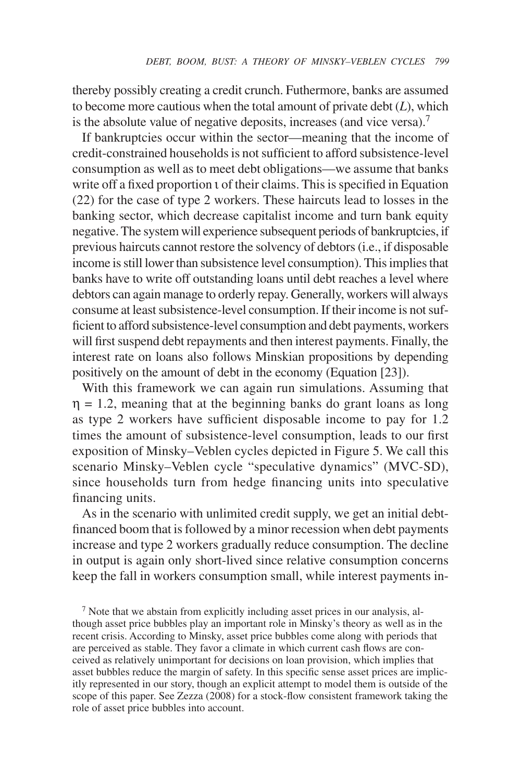thereby possibly creating a credit crunch. Futhermore, banks are assumed to become more cautious when the total amount of private debt (*L*), which is the absolute value of negative deposits, increases (and vice versa).7

If bankruptcies occur within the sector—meaning that the income of credit-constrained households is not sufficient to afford subsistence-level consumption as well as to meet debt obligations—we assume that banks write off a fixed proportion  $\iota$  of their claims. This is specified in Equation (22) for the case of type 2 workers. These haircuts lead to losses in the banking sector, which decrease capitalist income and turn bank equity negative. The system will experience subsequent periods of bankruptcies, if previous haircuts cannot restore the solvency of debtors (i.e., if disposable income is still lower than subsistence level consumption). This implies that banks have to write off outstanding loans until debt reaches a level where debtors can again manage to orderly repay. Generally, workers will always consume at least subsistence-level consumption. If their income is not sufficient to afford subsistence-level consumption and debt payments, workers will first suspend debt repayments and then interest payments. Finally, the interest rate on loans also follows Minskian propositions by depending positively on the amount of debt in the economy (Equation [23]).

With this framework we can again run simulations. Assuming that  $\eta = 1.2$ , meaning that at the beginning banks do grant loans as long as type 2 workers have sufficient disposable income to pay for 1.2 times the amount of subsistence-level consumption, leads to our first exposition of Minsky–Veblen cycles depicted in Figure 5. We call this scenario Minsky–Veblen cycle "speculative dynamics" (MVC-SD), since households turn from hedge financing units into speculative financing units.

As in the scenario with unlimited credit supply, we get an initial debtfinanced boom that is followed by a minor recession when debt payments increase and type 2 workers gradually reduce consumption. The decline in output is again only short-lived since relative consumption concerns keep the fall in workers consumption small, while interest payments in-

<sup>7</sup> Note that we abstain from explicitly including asset prices in our analysis, although asset price bubbles play an important role in Minsky's theory as well as in the recent crisis. According to Minsky, asset price bubbles come along with periods that are perceived as stable. They favor a climate in which current cash flows are conceived as relatively unimportant for decisions on loan provision, which implies that asset bubbles reduce the margin of safety. In this specific sense asset prices are implicitly represented in our story, though an explicit attempt to model them is outside of the scope of this paper. See Zezza (2008) for a stock-flow consistent framework taking the role of asset price bubbles into account.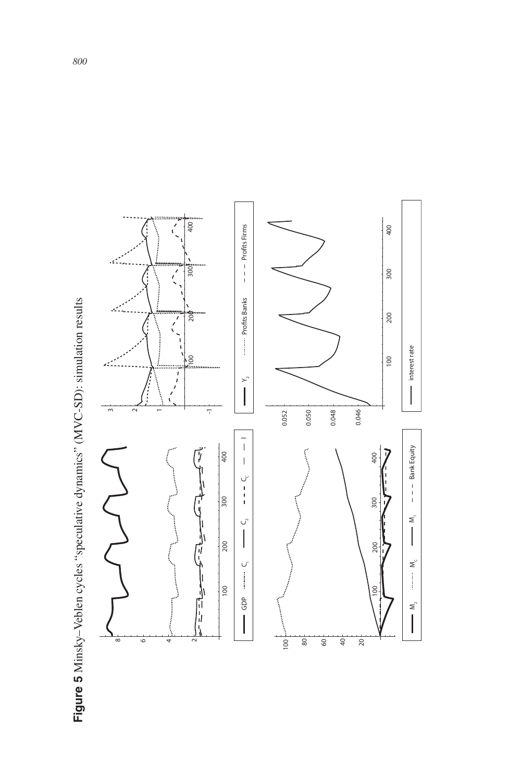

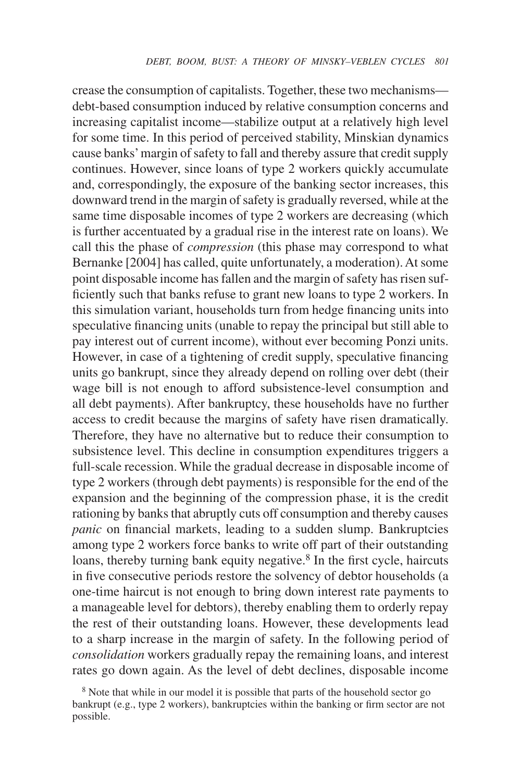crease the consumption of capitalists. Together, these two mechanisms debt-based consumption induced by relative consumption concerns and increasing capitalist income—stabilize output at a relatively high level for some time. In this period of perceived stability, Minskian dynamics cause banks' margin of safety to fall and thereby assure that credit supply continues. However, since loans of type 2 workers quickly accumulate and, correspondingly, the exposure of the banking sector increases, this downward trend in the margin of safety is gradually reversed, while at the same time disposable incomes of type 2 workers are decreasing (which is further accentuated by a gradual rise in the interest rate on loans). We call this the phase of *compression* (this phase may correspond to what Bernanke [2004] has called, quite unfortunately, a moderation). At some point disposable income has fallen and the margin of safety has risen sufficiently such that banks refuse to grant new loans to type 2 workers. In this simulation variant, households turn from hedge financing units into speculative financing units (unable to repay the principal but still able to pay interest out of current income), without ever becoming Ponzi units. However, in case of a tightening of credit supply, speculative financing units go bankrupt, since they already depend on rolling over debt (their wage bill is not enough to afford subsistence-level consumption and all debt payments). After bankruptcy, these households have no further access to credit because the margins of safety have risen dramatically. Therefore, they have no alternative but to reduce their consumption to subsistence level. This decline in consumption expenditures triggers a full-scale recession. While the gradual decrease in disposable income of type 2 workers (through debt payments) is responsible for the end of the expansion and the beginning of the compression phase, it is the credit rationing by banks that abruptly cuts off consumption and thereby causes *panic* on financial markets, leading to a sudden slump. Bankruptcies among type 2 workers force banks to write off part of their outstanding loans, thereby turning bank equity negative.<sup>8</sup> In the first cycle, haircuts in five consecutive periods restore the solvency of debtor households (a one-time haircut is not enough to bring down interest rate payments to a manageable level for debtors), thereby enabling them to orderly repay the rest of their outstanding loans. However, these developments lead to a sharp increase in the margin of safety. In the following period of *consolidation* workers gradually repay the remaining loans, and interest rates go down again. As the level of debt declines, disposable income

<sup>8</sup> Note that while in our model it is possible that parts of the household sector go bankrupt (e.g., type 2 workers), bankruptcies within the banking or firm sector are not possible.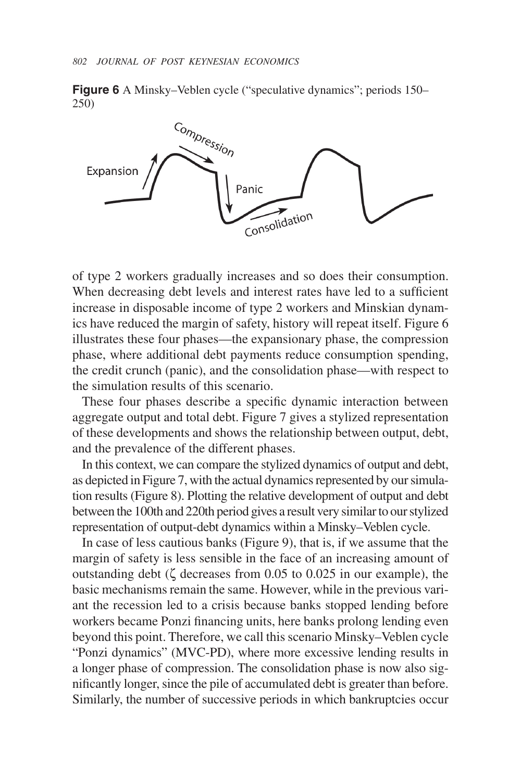**Figure 6** A Minsky–Veblen cycle ("speculative dynamics"; periods 150– 250)



of type 2 workers gradually increases and so does their consumption. When decreasing debt levels and interest rates have led to a sufficient increase in disposable income of type 2 workers and Minskian dynamics have reduced the margin of safety, history will repeat itself. Figure 6 illustrates these four phases—the expansionary phase, the compression phase, where additional debt payments reduce consumption spending, the credit crunch (panic), and the consolidation phase—with respect to the simulation results of this scenario.

These four phases describe a specific dynamic interaction between aggregate output and total debt. Figure 7 gives a stylized representation of these developments and shows the relationship between output, debt, and the prevalence of the different phases.

In this context, we can compare the stylized dynamics of output and debt, as depicted in Figure 7, with the actual dynamics represented by our simulation results (Figure 8). Plotting the relative development of output and debt between the 100th and 220th period gives a result very similar to our stylized representation of output-debt dynamics within a Minsky–Veblen cycle.

In case of less cautious banks (Figure 9), that is, if we assume that the margin of safety is less sensible in the face of an increasing amount of outstanding debt ( $\zeta$  decreases from 0.05 to 0.025 in our example), the basic mechanisms remain the same. However, while in the previous variant the recession led to a crisis because banks stopped lending before workers became Ponzi financing units, here banks prolong lending even beyond this point. Therefore, we call this scenario Minsky–Veblen cycle "Ponzi dynamics" (MVC-PD), where more excessive lending results in a longer phase of compression. The consolidation phase is now also significantly longer, since the pile of accumulated debt is greater than before. Similarly, the number of successive periods in which bankruptcies occur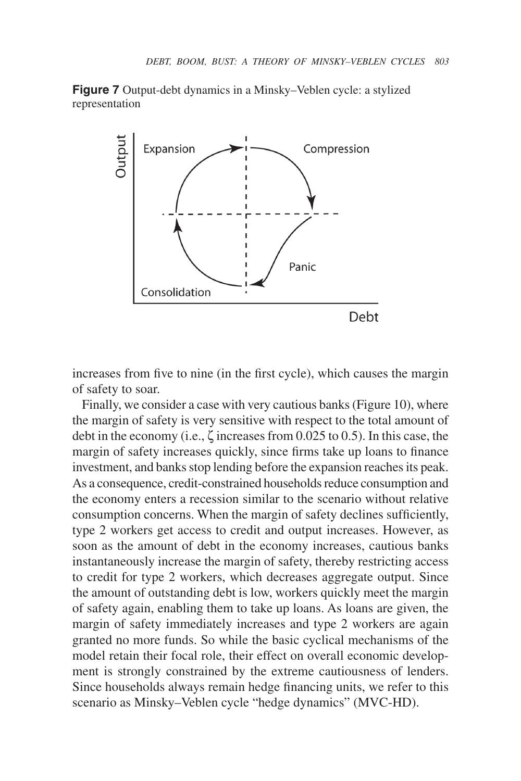**Figure 7** Output-debt dynamics in a Minsky–Veblen cycle: a stylized representation



increases from five to nine (in the first cycle), which causes the margin of safety to soar.

Finally, we consider a case with very cautious banks (Figure 10), where the margin of safety is very sensitive with respect to the total amount of debt in the economy (i.e.,  $\zeta$  increases from 0.025 to 0.5). In this case, the margin of safety increases quickly, since firms take up loans to finance investment, and banks stop lending before the expansion reaches its peak. As a consequence, credit-constrained households reduce consumption and the economy enters a recession similar to the scenario without relative consumption concerns. When the margin of safety declines sufficiently, type 2 workers get access to credit and output increases. However, as soon as the amount of debt in the economy increases, cautious banks instantaneously increase the margin of safety, thereby restricting access to credit for type 2 workers, which decreases aggregate output. Since the amount of outstanding debt is low, workers quickly meet the margin of safety again, enabling them to take up loans. As loans are given, the margin of safety immediately increases and type 2 workers are again granted no more funds. So while the basic cyclical mechanisms of the model retain their focal role, their effect on overall economic development is strongly constrained by the extreme cautiousness of lenders. Since households always remain hedge financing units, we refer to this scenario as Minsky–Veblen cycle "hedge dynamics" (MVC-HD).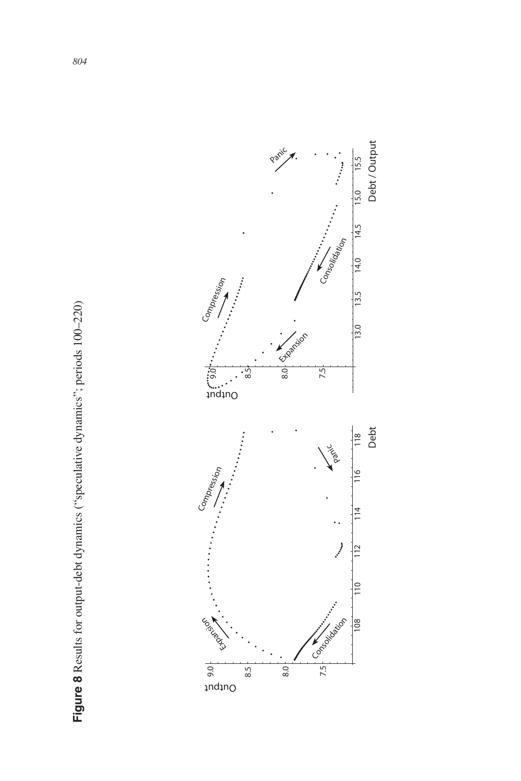

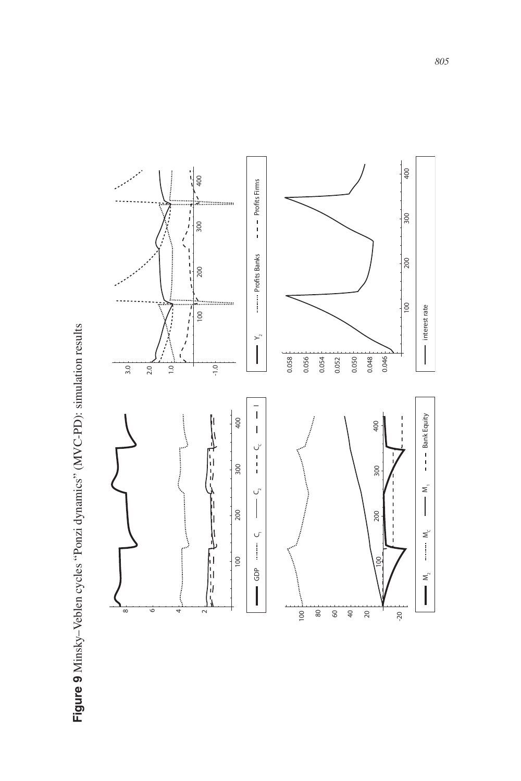

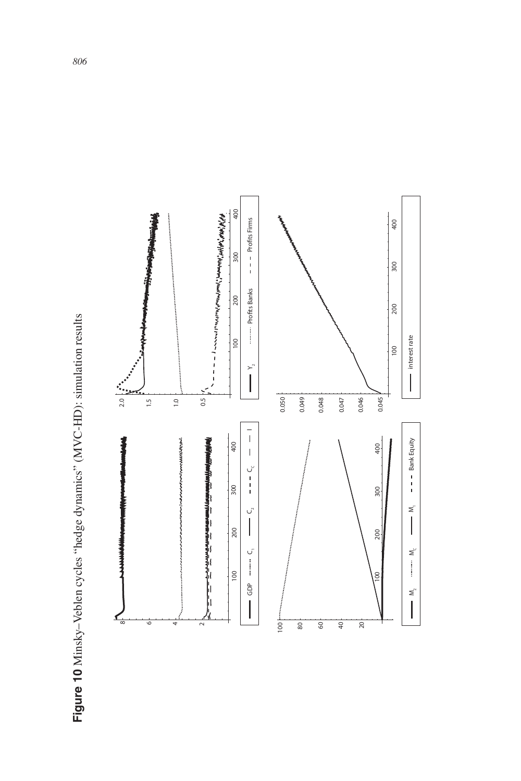

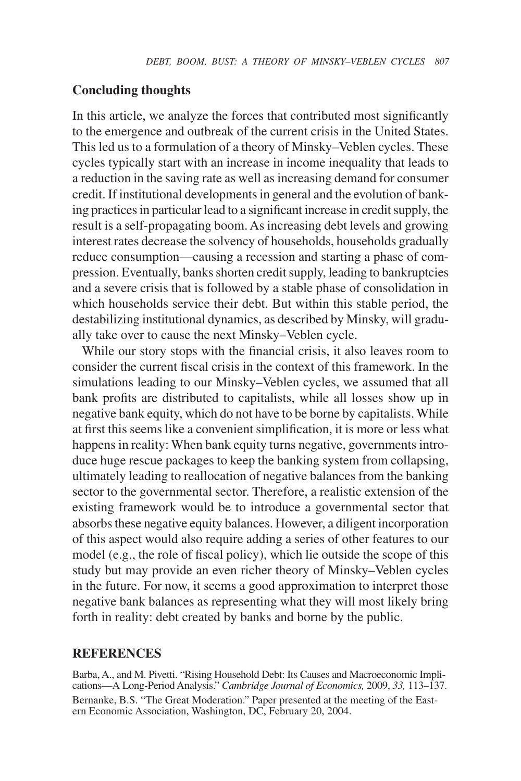### **Concluding thoughts**

In this article, we analyze the forces that contributed most significantly to the emergence and outbreak of the current crisis in the United States. This led us to a formulation of a theory of Minsky–Veblen cycles. These cycles typically start with an increase in income inequality that leads to a reduction in the saving rate as well as increasing demand for consumer credit. If institutional developments in general and the evolution of banking practices in particular lead to a significant increase in credit supply, the result is a self-propagating boom. As increasing debt levels and growing interest rates decrease the solvency of households, households gradually reduce consumption—causing a recession and starting a phase of compression. Eventually, banks shorten credit supply, leading to bankruptcies and a severe crisis that is followed by a stable phase of consolidation in which households service their debt. But within this stable period, the destabilizing institutional dynamics, as described by Minsky, will gradually take over to cause the next Minsky–Veblen cycle.

While our story stops with the financial crisis, it also leaves room to consider the current fiscal crisis in the context of this framework. In the simulations leading to our Minsky–Veblen cycles, we assumed that all bank profits are distributed to capitalists, while all losses show up in negative bank equity, which do not have to be borne by capitalists. While at first this seems like a convenient simplification, it is more or less what happens in reality: When bank equity turns negative, governments introduce huge rescue packages to keep the banking system from collapsing, ultimately leading to reallocation of negative balances from the banking sector to the governmental sector. Therefore, a realistic extension of the existing framework would be to introduce a governmental sector that absorbs these negative equity balances. However, a diligent incorporation of this aspect would also require adding a series of other features to our model (e.g., the role of fiscal policy), which lie outside the scope of this study but may provide an even richer theory of Minsky–Veblen cycles in the future. For now, it seems a good approximation to interpret those negative bank balances as representing what they will most likely bring forth in reality: debt created by banks and borne by the public.

#### **REFERENCES**

Barba, A., and M. Pivetti. "Rising Household Debt: Its Causes and Macroeconomic Implications—A Long-Period Analysis." *Cambridge Journal of Economics,* 2009, *33,* 113–137. Bernanke, B.S. "The Great Moderation." Paper presented at the meeting of the East- ern Economic Association, Washington, DC, February 20, 2004.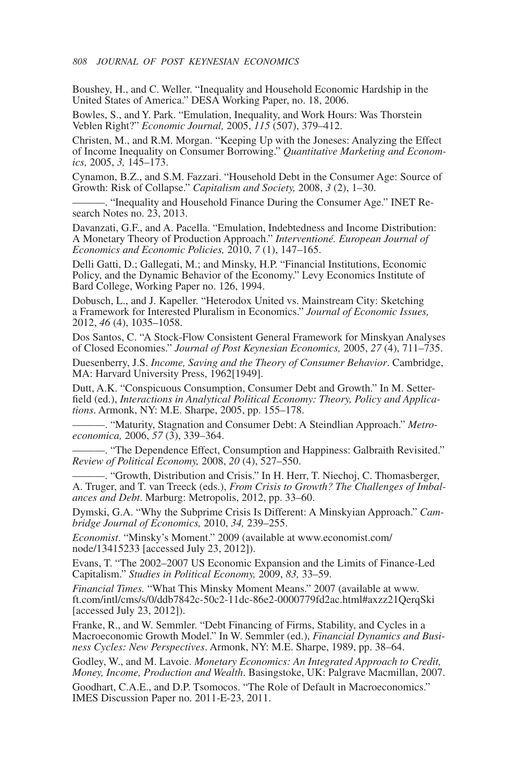Boushey, H., and C. Weller. "Inequality and Household Economic Hardship in the United States of America." DESA Working Paper, no. 18, 2006.

Bowles, S., and Y. Park. "Emulation, Inequality, and Work Hours: Was Thorstein Veblen Right?" *Economic Journal,* 2005, *115* (507), 379–412.

Christen, M., and R.M. Morgan. "Keeping Up with the Joneses: Analyzing the Effect of Income Inequality on Consumer Borrowing." *Quantitative Marketing and Economics,* 2005, *3,* 145–173.

Cynamon, B.Z., and S.M. Fazzari. "Household Debt in the Consumer Age: Source of Growth: Risk of Collapse." *Capitalism and Society,* 2008, *3* (2), 1–30.

———. "Inequality and Household Finance During the Consumer Age." INET Research Notes no. 23, 2013.

Davanzati, G.F., and A. Pacella. "Emulation, Indebtedness and Income Distribution: A Monetary Theory of Production Approach." *Interventioné. European Journal of Economics and Economic Policies,* 2010, *7* (1), 147–165.

Delli Gatti, D.; Gallegati, M.; and Minsky, H.P. "Financial Institutions, Economic Policy, and the Dynamic Behavior of the Economy." Levy Economics Institute of Bard College, Working Paper no. 126, 1994.

Dobusch, L., and J. Kapeller. "Heterodox United vs. Mainstream City: Sketching a Framework for Interested Pluralism in Economics." *Journal of Economic Issues,* 2012, *46* (4), 1035–1058.

Dos Santos, C. "A Stock-Flow Consistent General Framework for Minskyan Analyses of Closed Economies." *Journal of Post Keynesian Economics,* 2005, *27* (4), 711–735.

Duesenberry, J.S. *Income, Saving and the Theory of Consumer Behavior*. Cambridge, MA: Harvard University Press, 1962[1949].

Dutt, A.K. "Conspicuous Consumption, Consumer Debt and Growth." In M. Setter-<br>field (ed.), *Interactions in Analytical Political Economy: Theory, Policy and Applica-*<br>*tions*. Armonk, NY: M.E. Sharpe, 2005, pp. 155–178.

———. "Maturity, Stagnation and Consumer Debt: A Steindlian Approach." *Metro- economica,* 2006, *57* (3), 339–364.

———. "The Dependence Effect, Consumption and Happiness: Galbraith Revisited." *Review of Political Economy,* 2008, *20* (4), 527–550.

———. "Growth, Distribution and Crisis." In H. Herr, T. Niechoj, C. Thomasberger, A. Truger, and T. van Treeck (eds.), *From Crisis to Growth? The Challenges of Imbalances and Debt*. Marburg: Metropolis, 2012, pp. 33–60.

Dymski, G.A. "Why the Subprime Crisis Is Different: A Minskyian Approach." *Cambridge Journal of Economics,* 2010, *34,* 239–255.

*Economist*. "Minsky's Moment." 2009 (available at www.economist.com/ node/13415233 [accessed July 23, 2012]).

Evans, T. "The 2002–2007 US Economic Expansion and the Limits of Finance-Led Capitalism." *Studies in Political Economy,* 2009, *83,* 33–59.

*Financial Times.* "What This Minsky Moment Means." 2007 (available at www. ft.com/intl/cms/s/0/ddb7842c-50c2-11dc-86e2-0000779fd2ac.html#axzz21QerqSki [accessed July 23, 2012]).

Franke, R., and W. Semmler. "Debt Financing of Firms, Stability, and Cycles in a Macroeconomic Growth Model." In W. Semmler (ed.), *Financial Dynamics and Business Cycles: New Perspectives*. Armonk, NY: M.E. Sharpe, 1989, pp. 38–64.

Godley, W., and M. Lavoie. *Monetary Economics: An Integrated Approach to Credit, Money, Income, Production and Wealth*. Basingstoke, UK: Palgrave Macmillan, 2007.

Goodhart, C.A.E., and D.P. Tsomocos. "The Role of Default in Macroeconomics." IMES Discussion Paper no. 2011-E-23, 2011.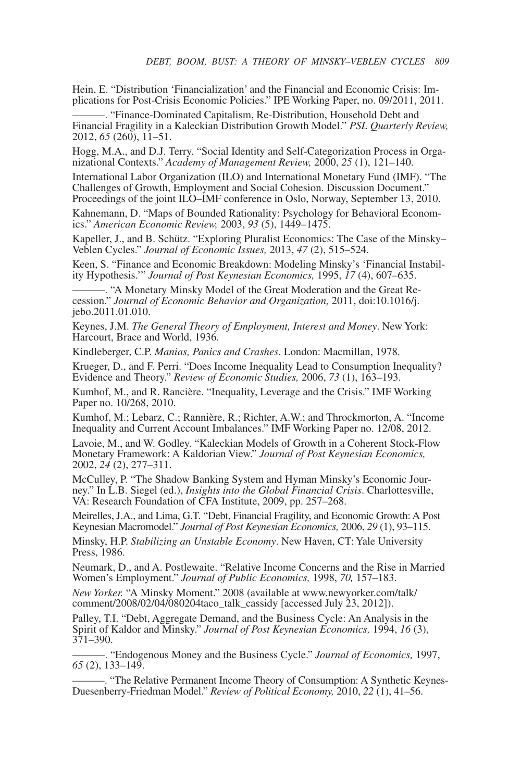Hein, E. "Distribution 'Financialization' and the Financial and Economic Crisis: Im- plications for Post-Crisis Economic Policies." IPE Working Paper, no. 09/2011, 2011.

———. "Finance-Dominated Capitalism, Re-Distribution, Household Debt and Financial Fragility in a Kaleckian Distribution Growth Model." *PSL Quarterly Review,* 2012, *65* (260), 11–51.

Hogg, M.A., and D.J. Terry. "Social Identity and Self-Categorization Process in Organizational Contexts." *Academy of Management Review,* 2000, *25* (1), 121–140.

International Labor Organization (ILO) and International Monetary Fund (IMF). "The Challenges of Growth, Employment and Social Cohesion. Discussion Document." Proceedings of the joint ILO–IMF conference in Oslo, Norway, September 13, 2010.

Kahnemann, D. "Maps of Bounded Rationality: Psychology for Behavioral Economics." *American Economic Review,* 2003, *93* (5), 1449–1475.

Kapeller, J., and B. Schütz. "Exploring Pluralist Economics: The Case of the Minsky– Veblen Cycles." *Journal of Economic Issues,* 2013, *47* (2), 515–524.

Keen, S. "Finance and Economic Breakdown: Modeling Minsky's 'Financial Instability Hypothesis.'" *Journal of Post Keynesian Economics,* 1995, *17* (4), 607–635.

———. "A Monetary Minsky Model of the Great Moderation and the Great Re- cession." *Journal of Economic Behavior and Organization,* 2011, doi:10.1016/j. jebo.2011.01.010.

Keynes, J.M. *The General Theory of Employment, Interest and Money*. New York: Harcourt, Brace and World, 1936.

Kindleberger, C.P. *Manias, Panics and Crashes*. London: Macmillan, 1978.

Krueger, D., and F. Perri. "Does Income Inequality Lead to Consumption Inequality? Evidence and Theory." *Review of Economic Studies,* 2006, *73* (1), 163–193.

Kumhof, M., and R. Rancière. "Inequality, Leverage and the Crisis." IMF Working Paper no. 10/268, 2010.

Kumhof, M.; Lebarz, C.; Rannière, R.; Richter, A.W.; and Throckmorton, A. "Income Inequality and Current Account Imbalances." IMF Working Paper no. 12/08, 2012.

Lavoie, M., and W. Godley. "Kaleckian Models of Growth in a Coherent Stock-Flow Monetary Framework: A Kaldorian View." *Journal of Post Keynesian Economics,* 2002, *24* (2), 277–311.

McCulley, P. "The Shadow Banking System and Hyman Minsky's Economic Journey." In L.B. Siegel (ed.), *Insights into the Global Financial Crisis*. Charlottesville, VA: Research Foundation of CFA Institute, 2009, pp. 257–268.

Meirelles, J.A., and Lima, G.T. "Debt, Financial Fragility, and Economic Growth: A Post Keynesian Macromodel." *Journal of Post Keynesian Economics,* 2006, *29* (1), 93–115.

Minsky, H.P. *Stabilizing an Unstable Economy*. New Haven, CT: Yale University Press, 1986.

Neumark, D., and A. Postlewaite. "Relative Income Concerns and the Rise in Married Women's Employment." *Journal of Public Economics,* 1998, *70,* 157–183.

*New Yorker.* "A Minsky Moment." 2008 (available at www.newyorker.com/talk/ comment/2008/02/04/080204taco\_talk\_cassidy [accessed July 23, 2012]).

Palley, T.I. "Debt, Aggregate Demand, and the Business Cycle: An Analysis in the Spirit of Kaldor and Minsky." *Journal of Post Keynesian Economics,* 1994, *16* (3), 371–390.

———. "Endogenous Money and the Business Cycle." *Journal of Economics,* 1997, *65* (2), 133–149.

———. "The Relative Permanent Income Theory of Consumption: A Synthetic Keynes-Duesenberry-Friedman Model." *Review of Political Economy,* 2010, *22* (1), 41–56.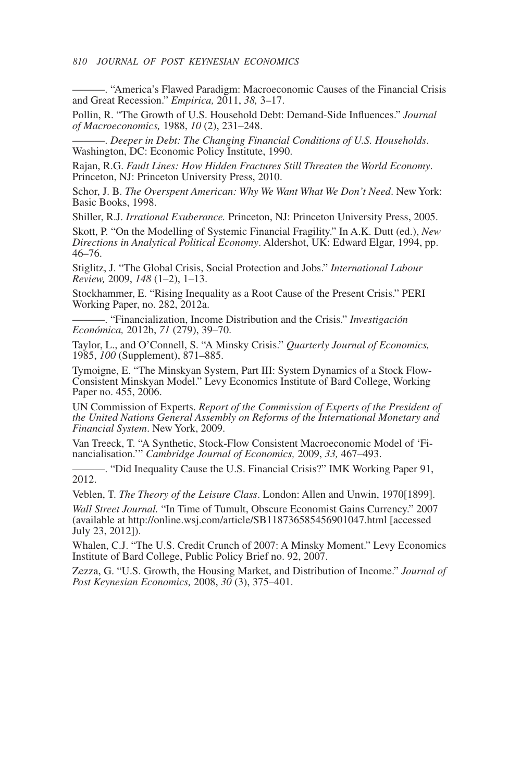———. "America's Flawed Paradigm: Macroeconomic Causes of the Financial Crisis and Great Recession." *Empirica,* 2011, *38,* 3–17.

Pollin, R. "The Growth of U.S. Household Debt: Demand-Side Influences." *Journal of Macroeconomics,* 1988, *10* (2), 231–248.

———. *Deeper in Debt: The Changing Financial Conditions of U.S. Households*. Washington, DC: Economic Policy Institute, 1990.

Rajan, R.G. *Fault Lines: How Hidden Fractures Still Threaten the World Economy*. Princeton, NJ: Princeton University Press, 2010.

Schor, J. B. *The Overspent American: Why We Want What We Don't Need*. New York: Basic Books, 1998.

Shiller, R.J. *Irrational Exuberance.* Princeton, NJ: Princeton University Press, 2005.

Skott, P. "On the Modelling of Systemic Financial Fragility." In A.K. Dutt (ed.), *New Directions in Analytical Political Economy*. Aldershot, UK: Edward Elgar, 1994, pp. 46–76.

Stiglitz, J. "The Global Crisis, Social Protection and Jobs." *International Labour Review,* 2009, *148* (1–2), 1–13.

Stockhammer, E. "Rising Inequality as a Root Cause of the Present Crisis." PERI Working Paper, no. 282, 2012a.

———. "Financialization, Income Distribution and the Crisis." *Investigación Económica,* 2012b, *71* (279), 39–70.

Taylor, L., and O'Connell, S. "A Minsky Crisis." *Quarterly Journal of Economics,* 1985, *100* (Supplement), 871–885.

Tymoigne, E. "The Minskyan System, Part III: System Dynamics of a Stock Flow-Consistent Minskyan Model." Levy Economics Institute of Bard College, Working Paper no. 455, 2006.

UN Commission of Experts. *Report of the Commission of Experts of the President of the United Nations General Assembly on Reforms of the International Monetary and Financial System*. New York, 2009.

Van Treeck, T. "A Synthetic, Stock-Flow Consistent Macroeconomic Model of 'Financialisation.'" *Cambridge Journal of Economics,* 2009, *33,* 467–493.

———. "Did Inequality Cause the U.S. Financial Crisis?" IMK Working Paper 91, 2012.

Veblen, T. *The Theory of the Leisure Class*. London: Allen and Unwin, 1970[1899].

*Wall Street Journal.* "In Time of Tumult, Obscure Economist Gains Currency." 2007 (available at http://online.wsj.com/article/SB118736585456901047.html [accessed July 23, 2012]).

Whalen, C.J. "The U.S. Credit Crunch of 2007: A Minsky Moment." Levy Economics Institute of Bard College, Public Policy Brief no. 92, 2007.

Zezza, G. "U.S. Growth, the Housing Market, and Distribution of Income." *Journal of Post Keynesian Economics,* 2008, *30* (3), 375–401.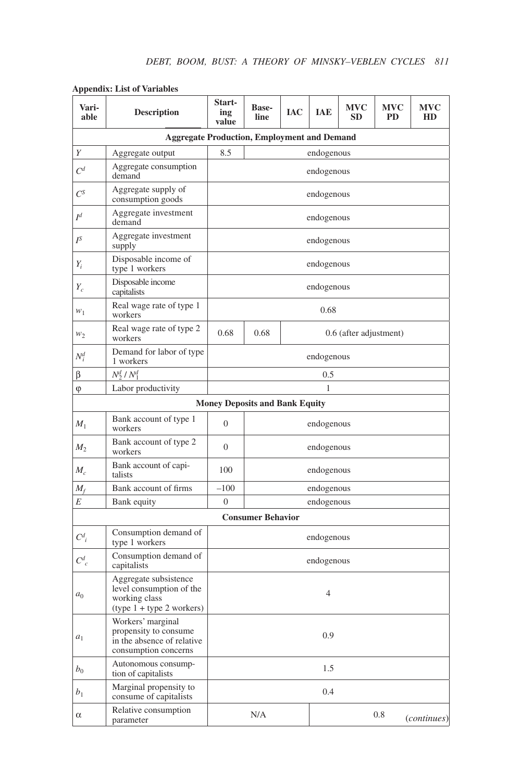| r r<br>Vari-<br>able     | <b>Description</b>                                                                                | Start-<br>ing<br>value                | <b>Base-</b><br>line | <b>IAC</b> | <b>IAE</b> | <b>MVC</b><br><b>SD</b> | MVC<br>PD | <b>MVC</b><br>HD |
|--------------------------|---------------------------------------------------------------------------------------------------|---------------------------------------|----------------------|------------|------------|-------------------------|-----------|------------------|
|                          | <b>Aggregate Production, Employment and Demand</b>                                                |                                       |                      |            |            |                         |           |                  |
| Υ                        | Aggregate output                                                                                  | 8.5                                   |                      |            | endogenous |                         |           |                  |
| $\mathbb{C}^d$           | Aggregate consumption<br>demand                                                                   |                                       |                      |            | endogenous |                         |           |                  |
| $C^{\cal S}$             | Aggregate supply of<br>consumption goods                                                          |                                       |                      |            | endogenous |                         |           |                  |
| $I^d$                    | Aggregate investment<br>demand                                                                    |                                       |                      |            | endogenous |                         |           |                  |
| $I^{\mathcal{S}}$        | Aggregate investment<br>supply                                                                    |                                       |                      |            | endogenous |                         |           |                  |
| $Y_i$                    | Disposable income of<br>type 1 workers                                                            |                                       |                      |            | endogenous |                         |           |                  |
| $Y_c$                    | Disposable income<br>capitalists                                                                  |                                       |                      |            | endogenous |                         |           |                  |
| $w_1$                    | Real wage rate of type 1<br>workers                                                               |                                       |                      |            | 0.68       |                         |           |                  |
| $W_2$                    | Real wage rate of type 2<br>workers                                                               | 0.68                                  | 0.68                 |            |            | 0.6 (after adjustment)  |           |                  |
| $N_i^d$                  | Demand for labor of type<br>1 workers                                                             |                                       |                      |            | endogenous |                         |           |                  |
| β                        | $N_2^d/N_1^d$                                                                                     |                                       |                      |            | 0.5        |                         |           |                  |
| $\varphi$                | Labor productivity                                                                                |                                       |                      |            | 1          |                         |           |                  |
|                          |                                                                                                   | <b>Money Deposits and Bank Equity</b> |                      |            |            |                         |           |                  |
| $M_1$                    | Bank account of type 1<br>workers                                                                 | $\mathbf{0}$                          |                      |            | endogenous |                         |           |                  |
| $M_2$                    | Bank account of type 2<br>workers                                                                 | $\mathbf{0}$                          |                      |            | endogenous |                         |           |                  |
| $M_c$                    | Bank account of capi-<br>talists                                                                  | 100<br>endogenous                     |                      |            |            |                         |           |                  |
| $M_f$                    | Bank account of firms                                                                             | $-100$<br>endogenous                  |                      |            |            |                         |           |                  |
| E                        | Bank equity                                                                                       | $\overline{0}$<br>endogenous          |                      |            |            |                         |           |                  |
| <b>Consumer Behavior</b> |                                                                                                   |                                       |                      |            |            |                         |           |                  |
| $C^d$                    | Consumption demand of<br>type 1 workers                                                           | endogenous                            |                      |            |            |                         |           |                  |
| $C^d_{\ c}$              | Consumption demand of<br>capitalists                                                              | endogenous                            |                      |            |            |                         |           |                  |
| a <sub>0</sub>           | Aggregate subsistence<br>level consumption of the<br>working class<br>$(type 1 + type 2 workers)$ | 4                                     |                      |            |            |                         |           |                  |
| $a_1$                    | Workers' marginal<br>propensity to consume<br>in the absence of relative<br>consumption concerns  | 0.9                                   |                      |            |            |                         |           |                  |
| $b_0$                    | Autonomous consump-<br>tion of capitalists                                                        |                                       |                      |            | 1.5        |                         |           |                  |
| b <sub>1</sub>           | Marginal propensity to<br>consume of capitalists                                                  |                                       |                      |            | 0.4        |                         |           |                  |
| $\alpha$                 | Relative consumption<br>parameter                                                                 |                                       | N/A                  |            |            |                         | 0.8       | (continues)      |

#### **Appendix: List of Variables**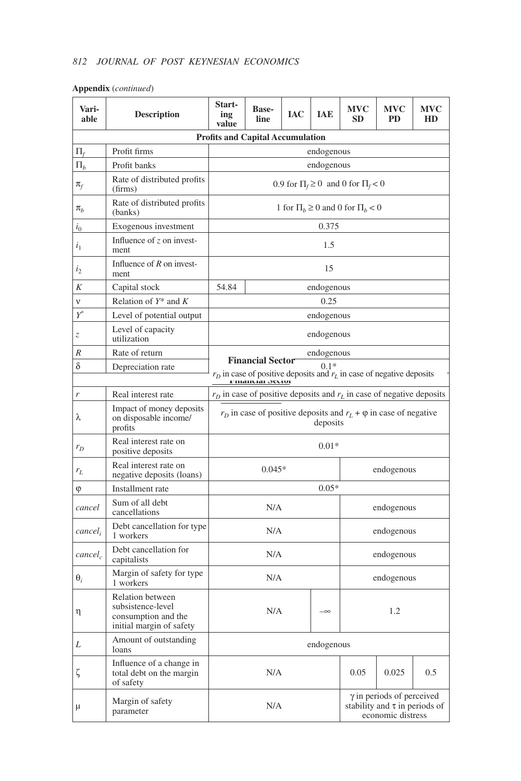| Vari-<br>able       | <b>Description</b>                                                                       | Start-<br>ing<br>value                  | <b>Base-</b><br>line    | <b>IAC</b> | <b>IAE</b> | <b>MVC</b><br><b>SD</b>                                                    | <b>MVC</b><br>PD                                                                            | <b>MVC</b><br>HD |  |
|---------------------|------------------------------------------------------------------------------------------|-----------------------------------------|-------------------------|------------|------------|----------------------------------------------------------------------------|---------------------------------------------------------------------------------------------|------------------|--|
|                     |                                                                                          | <b>Profits and Capital Accumulation</b> |                         |            |            |                                                                            |                                                                                             |                  |  |
| $\Pi_f$             | Profit firms                                                                             |                                         |                         |            | endogenous |                                                                            |                                                                                             |                  |  |
| $\Pi_b$             | Profit banks                                                                             |                                         |                         |            | endogenous |                                                                            |                                                                                             |                  |  |
| $\pi_f$             | Rate of distributed profits<br>(firms)                                                   |                                         |                         |            |            | 0.9 for $\Pi_f \ge 0$ and 0 for $\Pi_f < 0$                                |                                                                                             |                  |  |
| $\pi_b$             | Rate of distributed profits<br>(banks)                                                   |                                         |                         |            |            | 1 for $\Pi_b \ge 0$ and 0 for $\Pi_b < 0$                                  |                                                                                             |                  |  |
| $i_0$               | Exogenous investment                                                                     |                                         |                         |            | 0.375      |                                                                            |                                                                                             |                  |  |
| $i_1$               | Influence of $z$ on invest-<br>ment                                                      |                                         |                         |            | 1.5        |                                                                            |                                                                                             |                  |  |
| i <sub>2</sub>      | Influence of $R$ on invest-<br>ment                                                      |                                         |                         |            | 15         |                                                                            |                                                                                             |                  |  |
| Κ                   | Capital stock                                                                            | 54.84                                   |                         |            | endogenous |                                                                            |                                                                                             |                  |  |
| ν                   | Relation of $Y^*$ and $K$                                                                |                                         |                         |            | 0.25       |                                                                            |                                                                                             |                  |  |
| $Y^*$               | Level of potential output                                                                |                                         |                         |            | endogenous |                                                                            |                                                                                             |                  |  |
| z                   | Level of capacity<br>utilization                                                         |                                         |                         |            | endogenous |                                                                            |                                                                                             |                  |  |
| R                   | Rate of return                                                                           |                                         |                         |            | endogenous |                                                                            |                                                                                             |                  |  |
| δ                   | Depreciation rate                                                                        |                                         | <b>Financial Sector</b> |            | $0.1*$     |                                                                            |                                                                                             |                  |  |
|                     |                                                                                          |                                         | г шанхтаг эсског        |            |            | $r_D$ in case of positive deposits and $r_L$ in case of negative deposits  |                                                                                             |                  |  |
| r                   | Real interest rate                                                                       |                                         |                         |            |            | $r_D$ in case of positive deposits and $r_L$ in case of negative deposits  |                                                                                             |                  |  |
| λ                   | Impact of money deposits<br>on disposable income/<br>profits                             |                                         |                         |            | deposits   | $r_D$ in case of positive deposits and $r_L + \varphi$ in case of negative |                                                                                             |                  |  |
| $r_D$               | Real interest rate on<br>positive deposits                                               |                                         |                         |            | $0.01*$    |                                                                            |                                                                                             |                  |  |
| $r_L$               | Real interest rate on<br>negative deposits (loans)                                       |                                         | $0.045*$                |            |            |                                                                            | endogenous                                                                                  |                  |  |
| $\varphi$           | Installment rate                                                                         | $0.05*$                                 |                         |            |            |                                                                            |                                                                                             |                  |  |
| cancel              | Sum of all debt<br>cancellations                                                         |                                         | N/A<br>endogenous       |            |            |                                                                            |                                                                                             |                  |  |
| cancel <sub>i</sub> | Debt cancellation for type<br>1 workers                                                  |                                         | N/A<br>endogenous       |            |            |                                                                            |                                                                                             |                  |  |
| cancel <sub>c</sub> | Debt cancellation for<br>capitalists                                                     | N/A<br>endogenous                       |                         |            |            |                                                                            |                                                                                             |                  |  |
| $\theta_i$          | Margin of safety for type<br>1 workers                                                   | N/A<br>endogenous                       |                         |            |            |                                                                            |                                                                                             |                  |  |
| η                   | Relation between<br>subsistence-level<br>consumption and the<br>initial margin of safety |                                         | N/A                     |            | $-\infty$  | 1.2                                                                        |                                                                                             |                  |  |
| L                   | Amount of outstanding<br>loans                                                           |                                         |                         |            | endogenous |                                                                            |                                                                                             |                  |  |
| ζ                   | Influence of a change in<br>total debt on the margin<br>of safety                        |                                         | N/A                     |            |            | 0.05                                                                       | 0.025                                                                                       | 0.5              |  |
| μ                   | Margin of safety<br>parameter                                                            |                                         | N/A                     |            |            |                                                                            | $\gamma$ in periods of perceived<br>stability and $\tau$ in periods of<br>economic distress |                  |  |

#### **Appendix** (*continued*)